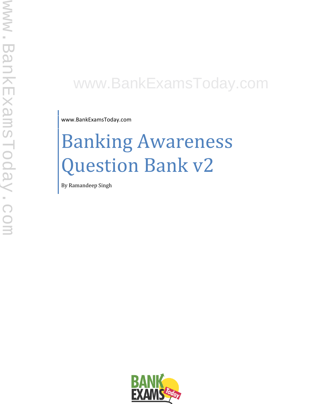## www.BankExamsToday.com

www.BankExamsToday.com

# Banking Awareness Question Bank v2

By Ramandeep Singh

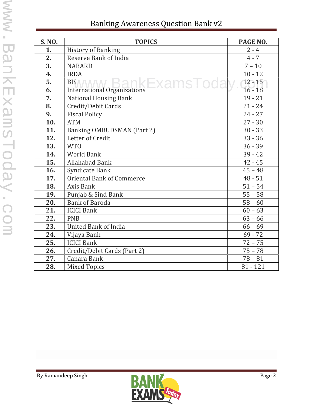| S. NO. | <b>TOPICS</b>                      | PAGE NO.   |
|--------|------------------------------------|------------|
| 1.     | <b>History of Banking</b>          | $2 - 4$    |
| 2.     | <b>Reserve Bank of India</b>       | $4 - 7$    |
| 3.     | <b>NABARD</b>                      | $7 - 10$   |
| 4.     | <b>IRDA</b>                        | $10 - 12$  |
| 5.     | <b>BISA/AA/AA/</b>                 | $12 - 15$  |
| 6.     | <b>International Organizations</b> | $16 - 18$  |
| 7.     | <b>National Housing Bank</b>       | $19 - 21$  |
| 8.     | Credit/Debit Cards                 | $21 - 24$  |
| 9.     | <b>Fiscal Policy</b>               | $24 - 27$  |
| 10.    | <b>ATM</b>                         | $27 - 30$  |
| 11.    | Banking OMBUDSMAN (Part 2)         | $30 - 33$  |
| 12.    | Letter of Credit                   | $33 - 36$  |
| 13.    | <b>WTO</b>                         | $36 - 39$  |
| 14.    | <b>World Bank</b>                  | $39 - 42$  |
| 15.    | <b>Allahabad Bank</b>              | $42 - 45$  |
| 16.    | Syndicate Bank                     | $45 - 48$  |
| 17.    | <b>Oriental Bank of Commerce</b>   | $48 - 51$  |
| 18.    | Axis Bank                          | $51 - 54$  |
| 19.    | Punjab & Sind Bank                 | $55 - 58$  |
| 20.    | <b>Bank of Baroda</b>              | $58 - 60$  |
| 21.    | <b>ICICI Bank</b>                  | $60 - 63$  |
| 22.    | <b>PNB</b>                         | $63 - 66$  |
| 23.    | <b>United Bank of India</b>        | $66 - 69$  |
| 24.    | Vijaya Bank                        | $69 - 72$  |
| 25.    | <b>ICICI Bank</b>                  | $72 - 75$  |
| 26.    | Credit/Debit Cards (Part 2)        | $75 - 78$  |
| 27.    | Canara Bank                        | $78 - 81$  |
| 28.    | <b>Mixed Topics</b>                | $81 - 121$ |

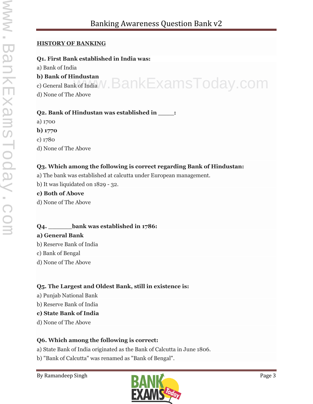#### **HISTORY OF BANKING**

#### **Q1. First Bank established in India was:**

a) Bank of India

**b) Bank of Hindustan**

o) Bank of Hindustan c).  $\mathsf{Bank}$   $\mathsf{E}\xspace$  ams $\mathsf{To}$  cay .  $\mathsf{com}$ 

d) None of The Above

#### **Q2. Bank of Hindustan was established in \_\_\_\_:**

- a) 1700 **b) 1770** c) 1780
- d) None of The Above

#### **Q3. Which among the following is correct regarding Bank of Hindustan:**

- a) The bank was established at calcutta under European management.
- b) It was liquidated on 1829 32.

#### **c) Both of Above**

d) None of The Above

#### **Q4. \_\_\_\_\_\_bank was established in 1786:**

#### **a) General Bank**

- b) Reserve Bank of India
- c) Bank of Bengal
- d) None of The Above

#### **Q5. The Largest and Oldest Bank, still in existence is:**

- a) Punjab National Bank
- b) Reserve Bank of India

#### **c) State Bank of India**

d) None of The Above

#### **Q6. Which among the following is correct:**

- a) State Bank of India originated as the Bank of Calcutta in June 1806.
- b) "Bank of Calcutta" was renamed as "Bank of Bengal".

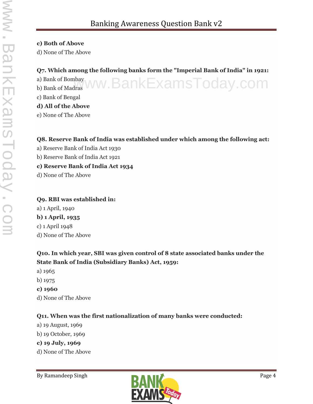#### **c) Both of Above**

d) None of The Above

#### **Q7. Which among the following banks form the "Imperial Bank of India" in 1921:**

a) Bank of Bombay a) Bank of Bombay<br>b) Bank of Madras WW.BankExamsToday.com

c) Bank of Bengal

#### **d) All of the Above**

e) None of The Above

#### **Q8. Reserve Bank of India was established under which among the following act:**

- a) Reserve Bank of India Act 1930
- b) Reserve Bank of India Act 1921

#### **c) Reserve Bank of India Act 1934**

d) None of The Above

#### **Q9. RBI was established in:** a) 1 April, 1940 **b) 1 April, 1935** c) 1 April 1948 d) None of The Above

#### **Q10. In which year, SBI was given control of 8 state associated banks under the State Bank of India (Subsidiary Banks) Act, 1959:**

- a) 1965
- b) 1975
- **c) 1960**
- d) None of The Above

#### **Q11. When was the first nationalization of many banks were conducted:**

- a) 19 August, 1969
- b) 19 October, 1969
- **c) 19 July, 1969**
- d) None of The Above

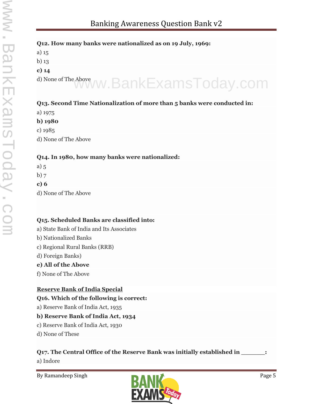#### **Q12. How many banks were nationalized as on 19 July, 1969:**

a) 15 b) 13 **c) 14** d) None of The Above www.BankExamsToday.com

#### **Q13. Second Time Nationalization of more than 5 banks were conducted in:**

a) 1975

**b) 1980**

c) 1985 d) None of The Above

#### **Q14. In 1980, how many banks were nationalized:**

- a) 5
- b) 7
- **c) 6**
- d) None of The Above

#### **Q15. Scheduled Banks are classified into:**

- a) State Bank of India and Its Associates
- b) Nationalized Banks
- c) Regional Rural Banks (RRB)
- d) Foreign Banks)

#### **e) All of the Above**

f) None of The Above

#### **Reserve Bank of India Special**

**Q16. Which of the following is correct:**

a) Reserve Bank of India Act, 1935

#### **b) Reserve Bank of India Act, 1934**

- c) Reserve Bank of India Act, 1930
- d) None of These

#### **Q17. The Central Office of the Reserve Bank was initially established in \_\_\_\_\_\_:**

a) Indore

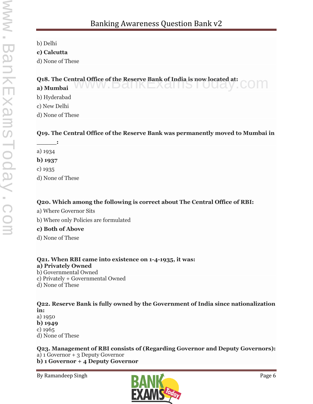b) Delhi

**c) Calcutta**

d) None of These

**Q18. The Central Office of the Reserve Bank of India is now located at:**<br>a) Mumbai **a) Mumbai**

b) Hyderabad

c) New Delhi

d) None of These

#### **Q19. The Central Office of the Reserve Bank was permanently moved to Mumbai in**

**\_\_\_\_\_:**

a) 1934

**b) 1937**

c) 1935

d) None of These

#### **Q20. Which among the following is correct about The Central Office of RBI:**

- a) Where Governor Sits
- b) Where only Policies are formulated

#### **c) Both of Above**

d) None of These

**Q21. When RBI came into existence on 1-4-1935, it was:**

#### **a) Privately Owned**

b) Governmental Owned

c) Privately + Governmental Owned

d) None of These

**Q22. Reserve Bank is fully owned by the Government of India since nationalization in:** a) 1950 **b) 1949** c) 1965 d) None of These

**Q23. Management of RBI consists of (Regarding Governor and Deputy Governors):** a) 1 Governor + 3 Deputy Governor **b) 1 Governor + 4 Deputy Governor**

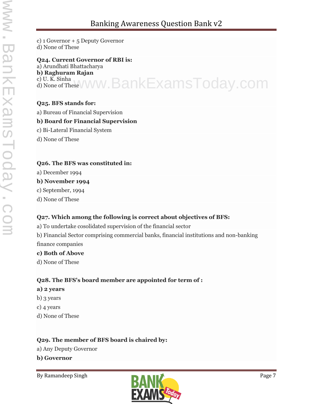c) 1 Governor + 5 Deputy Governor d) None of These

**Q24. Current Governor of RBI is:** a) Arundhati Bhattacharya **b) Raghuram Rajan** c) U. K. Sinha c) <sup>u. K. Sinha</sup> www.BankExamsToday.com

#### **Q25. BFS stands for:**

a) Bureau of Financial Supervision

#### **b) Board for Financial Supervision**

- c) Bi-Lateral Financial System
- d) None of These

#### **Q26. The BFS was constituted in:**

a) December 1994

#### **b) November 1994**

- c) September, 1994
- d) None of These

#### **Q27. Which among the following is correct about objectives of BFS:**

a) To undertake cosolidated supervision of the financial sector

b) Financial Sector comprising commercial banks, financial institutions and non-banking finance companies

#### **c) Both of Above**

d) None of These

#### **Q28. The BFS's board member are appointed for term of :**

#### **a) 2 years**

- b) 3 years
- c) 4 years
- d) None of These

#### **Q29. The member of BFS board is chaired by:**

- a) Any Deputy Governor
- **b) Governor**

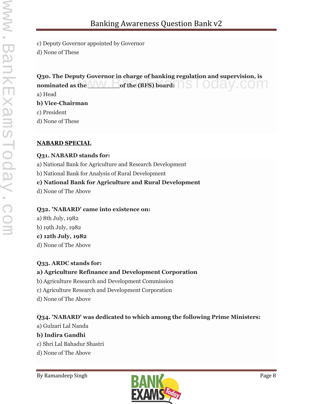c) Deputy Governor appointed by Governor

d) None of These

### **Q30. The Deputy Governor in charge of banking regulation and supervision, is** Q30. The Deputy Governor in charge of banking regulation and supervision, is<br>nominated as the **window** of the (BFS) board:

a) Head

**b) Vice-Chairman**

c) President

d) None of These

#### **NABARD SPECIAL**

#### **Q31. NABARD stands for:**

a) National Bank for Agriculture and Research Development

b) National Bank for Analysis of Rural Development

#### **c) National Bank for Agriculture and Rural Development**

d) None of The Above

#### **Q32. 'NABARD' came into existence on:**

a) 8th July, 1982 b) 19th July, 1982

#### **c) 12th July, 1982**

d) None of The Above

#### **Q33. ARDC stands for:**

#### **a) Agriculture Refinance and Development Corporation**

- b) Agriculture Research and Development Commission
- c) Agriculture Research and Development Corporation
- d) None of The Above

#### **Q34. 'NABARD' was dedicated to which among the following Prime Ministers:**

a) Gulzari Lal Nanda

#### **b) Indira Gandhi**

- c) Shri Lal Bahadur Shastri
- d) None of The Above

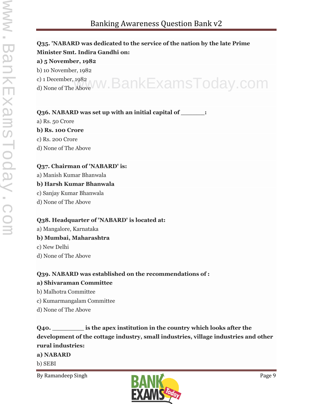### **Q35. 'NABARD was dedicated to the service of the nation by the late Prime Minister Smt. Indira Gandhi on: a) 5 November, 1982** b) 10 November, 1982

c) 1 December, 1982 c) 1 December, 1982<br>d) None of The Above W. BankExamsToday.com

#### **Q36. NABARD was set up with an initial capital of \_\_\_\_\_\_:**

a) Rs. 50 Crore

#### **b) Rs. 100 Crore**

- c) Rs. 200 Crore
- d) None of The Above

#### **Q37. Chairman of 'NABARD' is:**

a) Manish Kumar Bhanwala

#### **b) Harsh Kumar Bhanwala**

- c) Sanjay Kumar Bhanwala
- d) None of The Above

#### **Q38. Headquarter of 'NABARD' is located at:**

a) Mangalore, Karnataka **b) Mumbai, Maharashtra** c) New Delhi

d) None of The Above

#### **Q39. NABARD was established on the recommendations of :**

#### **a) Shivaraman Committee**

- b) Malhotra Committee
- c) Kumarmangalam Committee
- d) None of The Above

**Q40. \_\_\_\_\_\_\_\_ is the apex institution in the country which looks after the development of the cottage industry, small industries, village industries and other rural industries: a) NABARD**

b) SEBI

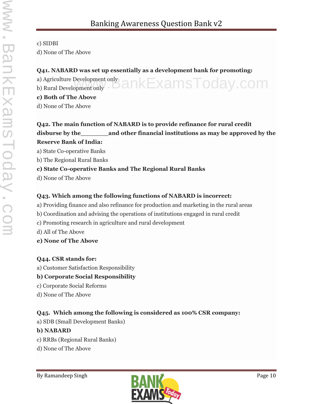#### c) SIDBI

d) None of The Above

#### **Q41. NABARD was set up essentially as a development bank for promoting:**

a) Agriculture Development only a) Agriculture Development only<br>b) Rural Development only  $\blacksquare$  ankExamsToday.com

#### **c) Both of The Above**

d) None of The Above

#### **Q42. The main function of NABARD is to provide refinance for rural credit disburse by the\_\_\_\_\_\_\_and other financial institutions as may be approved by the Reserve Bank of India:**

a) State Co-operative Banks

b) The Regional Rural Banks

#### **c) State Co-operative Banks and The Regional Rural Banks**

d) None of The Above

#### **Q43. Which among the following functions of NABARD is incorrect:**

- a) Providing finance and also refinance for production and marketing in the rural areas
- b) Coordination and advising the operations of institutions engaged in rural credit
- c) Promoting research in agriculture and rural development
- d) All of The Above
- **e) None of The Above**

#### **Q44. CSR stands for:**

a) Customer Satisfaction Responsibility

#### **b) Corporate Social Responsibility**

- c) Corporate Social Reforms
- d) None of The Above

#### **Q45. Which among the following is considered as 100% CSR company:**

a) SDB (Small Development Banks)

#### **b) NABARD**

- c) RRBs (Regional Rural Banks)
- d) None of The Above

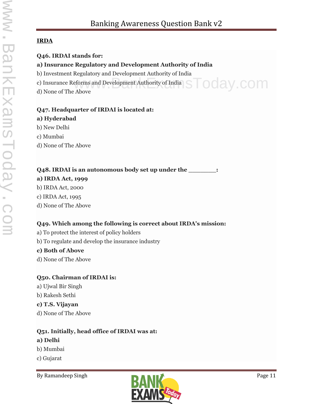#### **IRDA**

- **Q46. IRDAI stands for:**
- **a) Insurance Regulatory and Development Authority of India**
- b) Investment Regulatory and Development Authority of India
- c) Insurance Reforms and Development Authority of India eforms and Development Authority of India STOCay.COM
- d) None of The Above

#### **Q47. Headquarter of IRDAI is located at:**

#### **a) Hyderabad**

- b) New Delhi
- c) Mumbai
- d) None of The Above

#### **Q48. IRDAI is an autonomous body set up under the \_\_\_\_\_\_\_:**

#### **a) IRDA Act, 1999**

- b) IRDA Act, 2000
- c) IRDA Act, 1995
- d) None of The Above

#### **Q49. Which among the following is correct about IRDA's mission:**

- a) To protect the interest of policy holders
- b) To regulate and develop the insurance industry

#### **c) Both of Above**

d) None of The Above

#### **Q50. Chairman of IRDAI is:**

a) Ujwal Bir Singh b) Rakesh Sethi

#### **c) T.S. Vijayan**

d) None of The Above

#### **Q51. Initially, head office of IRDAI was at: a) Delhi**

- b) Mumbai
- c) Gujarat

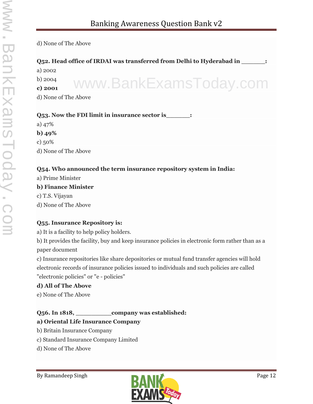www.BankExamsToday.com

#### d) None of The Above

#### **Q52. Head office of IRDAI was transferred from Delhi to Hyderabad in \_\_\_\_\_\_:**

a) 2002

b) 2004

**c) 2001**

d) None of The Above

#### **Q53. Now the FDI limit in insurance sector is**  $\cdot$

a) 47% **b) 49%** c) 50% d) None of The Above

#### **Q54. Who announced the term insurance repository system in India:**

a) Prime Minister

#### **b) Finance Minister**

c) T.S. Vijayan

d) None of The Above

#### **Q55. Insurance Repository is:**

a) It is a facility to help policy holders.

b) It provides the facility, buy and keep insurance policies in electronic form rather than as a paper document

c) Insurance repositories like share depositories or mutual fund transfer agencies will hold electronic records of insurance policies issued to individuals and such policies are called "electronic policies" or "e - policies"

#### **d) All of The Above**

e) None of The Above

#### **Q56. In 1818, \_\_\_\_\_\_\_\_\_company was established:**

#### **a) Oriental Life Insurance Company**

- b) Britain Insurance Company
- c) Standard Insurance Company Limited
- d) None of The Above

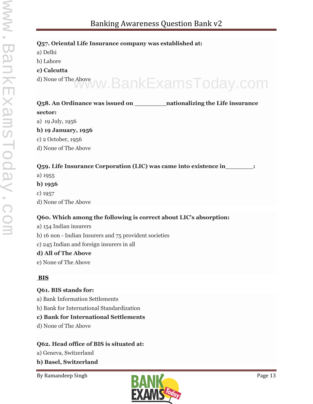| Q57. Oriental Life Insurance company was established at:                         |
|----------------------------------------------------------------------------------|
| a) Delhi                                                                         |
| b) Lahore                                                                        |
| c) Calcutta                                                                      |
| d) None of The Above WW. BankExamsToday.com                                      |
| Q58. An Ordinance was issued on ________________nationalizing the Life insurance |
| sector:                                                                          |
| a) 19 July, 1956                                                                 |
| b) 19 January, 1956                                                              |
| c) 2 October, 1956                                                               |
| d) None of The Above                                                             |
| Q59. Life Insurance Corporation (LIC) was came into existence in________:        |
| a) 1955                                                                          |
| $b)$ 1956                                                                        |
| c) $1957$                                                                        |
| d) None of The Above                                                             |
| Q60. Which among the following is correct about LIC's absorption:                |
| a) 154 Indian insurers                                                           |
| b) 16 non - Indian Insurers and 75 provident societies                           |
| c) 245 Indian and foreign insurers in all                                        |
| d) All of The Above                                                              |
| e) None of The Above                                                             |
| <b>BIS</b>                                                                       |
| Q61. BIS stands for:                                                             |
| a) Bank Information Settlements                                                  |

b) Bank for International Standardization

#### **c) Bank for International Settlements**

d) None of The Above

#### **Q62. Head office of BIS is situated at:**

- a) Geneva, Switzerland
- **b) Basel, Switzerland**

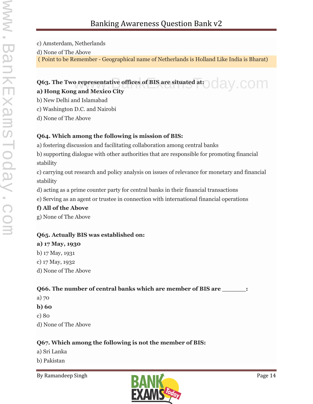- c) Amsterdam, Netherlands
- d) None of The Above

( Point to be Remember - Geographical name of Netherlands is Holland Like India is Bharat)

#### **Q63. The Two representative offices of BIS are situated at: 000 AV COM a) Hong Kong and Mexico City**

- b) New Delhi and Islamabad
- c) Washington D.C. and Nairobi
- d) None of The Above

#### **Q64. Which among the following is mission of BIS:**

- a) fostering discussion and facilitating collaboration among central banks
- b) supporting dialogue with other authorities that are responsible for promoting financial stability
- c) carrying out research and policy analysis on issues of relevance for monetary and financial stability
- d) acting as a prime counter party for central banks in their financial transactions
- e) Serving as an agent or trustee in connection with international financial operations

#### **f) All of the Above**

g) None of The Above

#### **Q65. Actually BIS was established on:**

### **a) 17 May, 1930**

- b) 17 May, 1931
- c) 17 May, 1932
- d) None of The Above

#### **Q66. The number of central banks which are member of BIS are \_\_\_\_\_\_:**

- a) 70
- **b) 60**
- c) 80
- d) None of The Above

#### **Q67. Which among the following is not the member of BIS:**

- a) Sri Lanka
- b) Pakistan

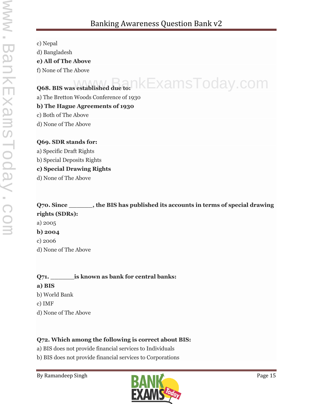c) Nepal d) Bangladesh

**e) All of The Above**

f) None of The Above

## Q68. BIS was established due to:  $\kappa$ ExamsToday.com

a) The Bretton Woods Conference of 1930

#### **b) The Hague Agreements of 1930**

c) Both of The Above

d) None of The Above

#### **Q69. SDR stands for:**

a) Specific Draft Rights

b) Special Deposits Rights

#### **c) Special Drawing Rights**

d) None of The Above

**Q70. Since \_\_\_\_\_\_, the BIS has published its accounts in terms of special drawing rights (SDRs):** a) 2005 **b) 2004** c) 2006 d) None of The Above

**Q71. \_\_\_\_\_\_is known as bank for central banks: a) BIS** b) World Bank c) IMF d) None of The Above

#### **Q72. Which among the following is correct about BIS:**

a) BIS does not provide financial services to Individuals

b) BIS does not provide financial services to Corporations

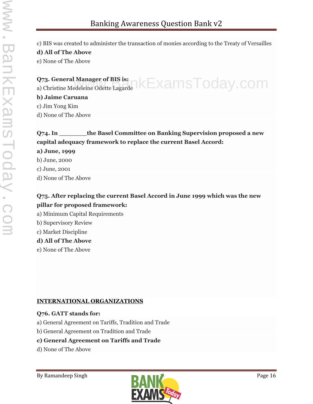c) BIS was created to administer the transaction of monies according to the Treaty of Versailles

าkExamsToday.com

#### **d) All of The Above**

e) None of The Above

#### **Q73. General Manager of BIS is:**

a) Christine Medeleine Odette Lagarde

#### **b) Jaime Caruana**

c) Jim Yong Kim

d) None of The Above

#### **Q74. In \_\_\_\_\_\_\_the Basel Committee on Banking Supervision proposed a new capital adequacy framework to replace the current Basel Accord:**

#### **a) June, 1999**

- b) June, 2000
- c) June, 2001
- d) None of The Above

#### **Q75. After replacing the current Basel Accord in June 1999 which was the new pillar for proposed framework:**

- a) Minimum Capital Requirements
- b) Supervisory Review
- c) Market Discipline

#### **d) All of The Above**

e) None of The Above

#### **INTERNATIONAL ORGANIZATIONS**

#### **Q76. GATT stands for:**

- a) General Agreement on Tariffs, Tradition and Trade
- b) General Agreement on Tradition and Trade

#### **c) General Agreement on Tariffs and Trade**

d) None of The Above

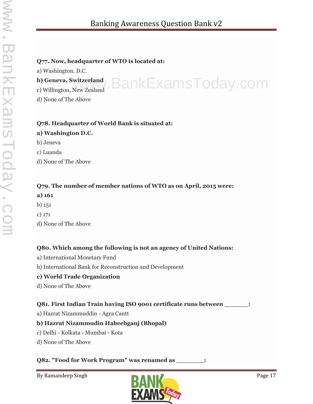www.BankExamsToday.com

#### **Q77. Now, headquarter of WTO is located at:**

a) Washington. D.C.

**b) Geneva, Switzerland**

c) Willington, New Zealand

d) None of The Above

#### **Q78. Headquarter of World Bank is situated at:**

#### **a) Washington D.C.**

- b) Jeneva
- c) Luanda
- d) None of The Above

#### **Q79. The number of member nations of WTO as on April, 2015 were:**

- **a) 161**
- b) 151
- c) 171
- d) None of The Above

#### **Q80. Which among the following is not an agency of United Nations:**

- a) International Monetary Fund
- b) International Bank for Reconstruction and Development

#### **c) World Trade Organization**

d) None of The Above

#### **Q81. First Indian Train having ISO 9001 certificate runs between \_\_\_\_\_\_:**

a) Hazrat Nizammuddin - Agra Cantt

#### **b) Hazrat Nizammudin Habeebganj (Bhopal)**

- c) Delhi Kolkata Mumbai Kota
- d) None of The Above

#### **Q82. "Food for Work Program" was renamed as \_\_\_\_\_\_\_:**

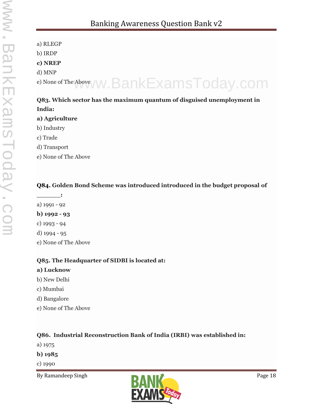a) RLEGP b) IRDP **c) NREP** d) MNP e) None of The Abovey W. BankExamsToday.com

#### **Q83. Which sector has the maximum quantum of disguised unemployment in India:**

#### **a) Agriculture**

- b) Industry
- c) Trade
- d) Transport
- e) None of The Above

#### **Q84. Golden Bond Scheme was introduced introduced in the budget proposal of**

**\_\_\_\_\_\_:** a) 1991 - 92 **b) 1992 - 93** c) 1993 - 94 d) 1994 - 95 e) None of The Above

#### **Q85. The Headquarter of SIDBI is located at:**

#### **a) Lucknow**

- b) New Delhi
- c) Mumbai
- d) Bangalore
- e) None of The Above

#### **Q86. Industrial Reconstruction Bank of India (IRBI) was established in:**

a) 1975

#### **b) 1985**

c) 1990

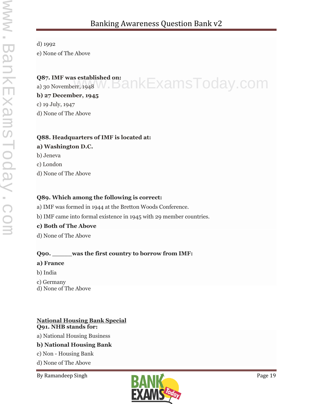## d) 1992

e) None of The Above

#### **Q87. IMF was established on:**

Q87. IMF was established on:<br>a) 30 Novemberr, 1948 W . BankExamsToday.com

## **b) 27 December, 1945**

c) 19 July, 1947

d) None of The Above

#### **Q88. Headquarters of IMF is located at:**

#### **a) Washington D.C.**

b) Jeneva

c) London

d) None of The Above

#### **Q89. Which among the following is correct:**

a) IMF was formed in 1944 at the Bretton Woods Conference.

b) IMF came into formal existence in 1945 with 29 member countries.

#### **c) Both of The Above**

d) None of The Above

#### **Q90. \_\_\_\_\_was the first country to borrow from IMF:**

#### **a) France**

- b) India
- c) Germany
- d) None of The Above
- **National Housing Bank Special Q91. NHB stands for:** a) National Housing Business **b) National Housing Bank** c) Non - Housing Bank
- d) None of The Above

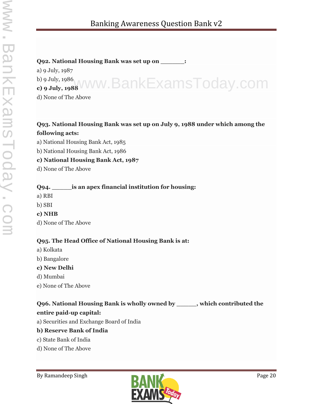#### **Q92. National Housing Bank was set up on \_\_\_\_\_\_:**

a) 9 July, 1987 b) 9 July, 1986

## **c) 9 July, 1988** www.BankExamsToday.com d) None of The Above

### **Q93. National Housing Bank was set up on July 9, 1988 under which among the following acts:**

a) National Housing Bank Act, 1985

b) National Housing Bank Act, 1986

#### **c) National Housing Bank Act, 1987**

d) None of The Above

#### **Q94. \_\_\_\_\_is an apex financial institution for housing:**

a) RBI

#### b) SBI

- **c) NHB**
- d) None of The Above

#### **Q95. The Head Office of National Housing Bank is at:**

- a) Kolkata
- b) Bangalore
- **c) New Delhi**
- d) Mumbai
- e) None of The Above

## **Q96. National Housing Bank is wholly owned by \_\_\_\_\_, which contributed the**

#### **entire paid-up capital:**

a) Securities and Exchange Board of India

#### **b) Reserve Bank of India**

- c) State Bank of India
- d) None of The Above

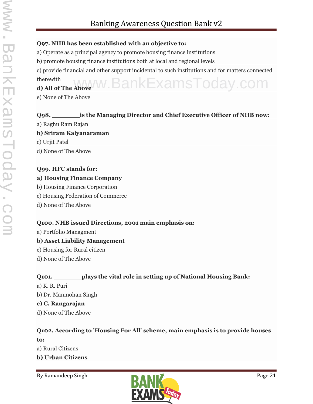#### **Q97. NHB has been established with an objective to:**

a) Operate as a principal agency to promote housing finance institutions

b) promote housing finance institutions both at local and regional levels

c) provide financial and other support incidental to such institutions and for matters connected therewith **d) All of The Above** www.BankExamsToday.com

e) None of The Above

#### **Q98. \_\_\_\_\_\_\_is the Managing Director and Chief Executive Officer of NHB now:**

- a) Raghu Ram Rajan
- **b) Sriram Kalyanaraman**
- c) Urjit Patel
- d) None of The Above

#### **Q99. HFC stands for:**

#### **a) Housing Finance Company**

- b) Housing Finance Corporation
- c) Housing Federation of Commerce
- d) None of The Above

#### **Q100. NHB issued Directions, 2001 main emphasis on:**

a) Portfolio Managment

#### **b) Asset Liability Management**

- c) Housing for Rural citizen
- d) None of The Above

#### **Q101. \_\_\_\_\_\_\_plays the vital role in setting up of National Housing Bank:**

- a) K. R. Puri
- b) Dr. Manmohan Singh

#### **c) C. Rangarajan**

d) None of The Above

#### **Q102. According to 'Housing For All' scheme, main emphasis is to provide houses to:**

- a) Rural Citizens
- **b) Urban Citizens**

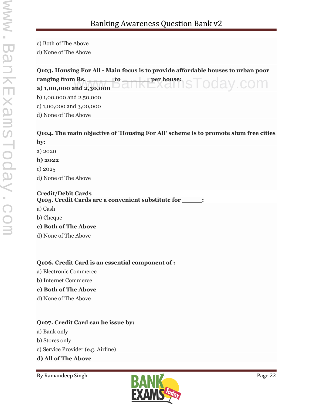c) Both of The Above

d) None of The Above

| Q103. Housing For All - Main focus is to provide affordable houses to urban poor<br>ranging from Rs. _______to<br>a) 1,00,000 and 2,30,000 $\Box$ |
|---------------------------------------------------------------------------------------------------------------------------------------------------|
|                                                                                                                                                   |
| b) $1,00,000$ and $2,50,000$                                                                                                                      |
| c) $1,00,000$ and $3,00,000$                                                                                                                      |
| d) None of The Above                                                                                                                              |
| Q104. The main objective of 'Housing For All' scheme is to promote slum free cities                                                               |
| by:                                                                                                                                               |
| a) $2020$                                                                                                                                         |
| b) 2022                                                                                                                                           |
| c) $2025$                                                                                                                                         |
| d) None of The Above                                                                                                                              |

#### **Credit/Debit Cards**

**Q105. Credit Cards are a convenient substitute for \_\_\_\_\_:**

- a) Cash
- b) Cheque

#### **c) Both of The Above**

d) None of The Above

#### **Q106. Credit Card is an essential component of :**

- a) Electronic Commerce
- b) Internet Commerce

#### **c) Both of The Above**

d) None of The Above

#### **Q107. Credit Card can be issue by:**

- a) Bank only
- b) Stores only
- c) Service Provider (e.g. Airline)

#### **d) All of The Above**

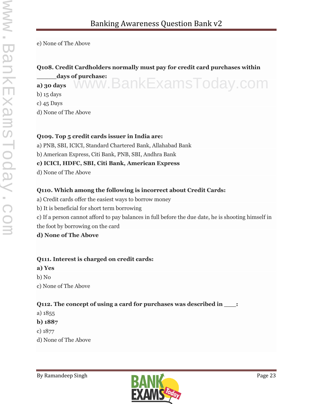e) None of The Above

#### **Q108. Credit Cardholders normally must pay for credit card purchases within**

**\_\_\_\_\_days of purchase:** www.BankExamsToday.com

**a) 30 days** b) 15 days

c) 45 Days

d) None of The Above

#### **Q109. Top 5 credit cards issuer in India are:**

a) PNB, SBI, ICICI, Standard Chartered Bank, Allahabad Bank

b) American Express, Citi Bank, PNB, SBI, Andhra Bank

#### **c) ICICI, HDFC, SBI, Citi Bank, American Express**

d) None of The Above

#### **Q110. Which among the following is incorrect about Credit Cards:**

a) Credit cards offer the easiest ways to borrow money

b) It is beneficial for short term borrowing

c) If a person cannot afford to pay balances in full before the due date, he is shooting himself in the foot by borrowing on the card

**d) None of The Above**

#### **Q111. Interest is charged on credit cards:**

**a) Yes**

b) No c) None of The Above

#### **Q112. The concept of using a card for purchases was described in \_\_\_:**

a) 1855

**b) 1887**

c) 1877

d) None of The Above

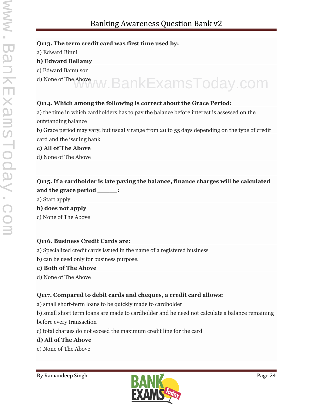#### **Q113. The term credit card was first time used by:**

a) Edward Binni

#### **b) Edward Bellamy**

- c) Edward Bamulson
- 

# d) None of The Above www.BankExamsToday.com

#### **Q114. Which among the following is correct about the Grace Period:**

a) the time in which cardholders has to pay the balance before interest is assessed on the outstanding balance

b) Grace period may vary, but usually range from 20 to 55 days depending on the type of credit card and the issuing bank

#### **c) All of The Above**

d) None of The Above

#### **Q115. If a cardholder is late paying the balance, finance charges will be calculated and the grace period \_\_\_\_\_:**

a) Start apply

**b) does not apply**

c) None of The Above

#### **Q116. Business Credit Cards are:**

a) Specialized credit cards issued in the name of a registered business

b) can be used only for business purpose.

#### **c) Both of The Above**

d) None of The Above

#### **Q117. Compared to debit cards and cheques, a credit card allows:**

a) small short-term loans to be quickly made to cardholder

b) small short term loans are made to cardholder and he need not calculate a balance remaining before every transaction

c) total charges do not exceed the maximum credit line for the card

#### **d) All of The Above**

e) None of The Above

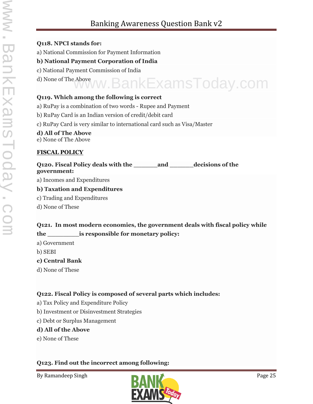### Banking Awareness Question Bank v2

#### **Q118. NPCI stands for:**

a) National Commission for Payment Information

#### **b) National Payment Corporation of India**

- c) National Payment Commission of India
- 

## d) None of The Above www.BankExamsToday.com **Q119. Which among the following is correct**

- a) RuPay is a combination of two words Rupee and Payment
- b) RuPay Card is an Indian version of credit/debit card
- c) RuPay Card is very similar to international card such as Visa/Master

#### **d) All of The Above**

e) None of The Above

#### **FISCAL POLICY**

#### **Q120. Fiscal Policy deals with the \_\_\_\_\_\_and \_\_\_\_\_\_decisions of the government:**

a) Incomes and Expenditures

#### **b) Taxation and Expenditures**

- c) Trading and Expenditures
- d) None of These

#### **Q121. In most modern economies, the government deals with fiscal policy while the \_\_\_\_\_\_\_\_is responsible for monetary policy:**

- a) Government
- b) SEBI
- **c) Central Bank**
- d) None of These

#### **Q122. Fiscal Policy is composed of several parts which includes:**

- a) Tax Policy and Expenditure Policy
- b) Investment or Disinvestment Strategies
- c) Debt or Surplus Management

#### **d) All of the Above**

e) None of These

#### **Q123. Find out the incorrect among following:**

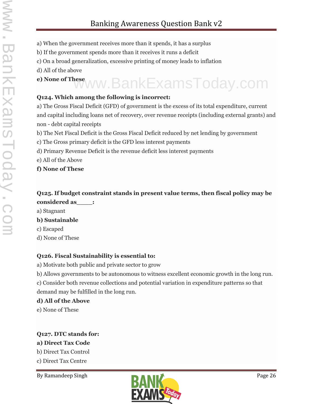- a) When the government receives more than it spends, it has a surplus
- b) If the government spends more than it receives it runs a deficit
- c) On a broad generalization, excessive printing of money leads to inflation
- d) All of the above

## **e) None of These** www.BankExamsToday.com

#### **Q124. Which among the following is incorrect:**

a) The Gross Fiscal Deficit (GFD) of government is the excess of its total expenditure, current and capital including loans net of recovery, over revenue receipts (including external grants) and non - debt capital receipts

- b) The Net Fiscal Deficit is the Gross Fiscal Deficit reduced by net lending by government
- c) The Gross primary deficit is the GFD less interest payments
- d) Primary Revenue Deficit is the revenue deficit less interest payments
- e) All of the Above
- **f) None of These**

#### **Q125. If budget constraint stands in present value terms, then fiscal policy may be considered as\_\_\_\_:**

a) Stagnant

#### **b) Sustainable**

- c) Escaped
- d) None of These

#### **Q126. Fiscal Sustainability is essential to:**

- a) Motivate both public and private sector to grow
- b) Allows governments to be autonomous to witness excellent economic growth in the long run.

c) Consider both revenue collections and potential variation in expenditure patterns so that demand may be fulfilled in the long run.

#### **d) All of the Above**

e) None of These

#### **Q127. DTC stands for:**

#### **a) Direct Tax Code**

- b) Direct Tax Control
- c) Direct Tax Centre

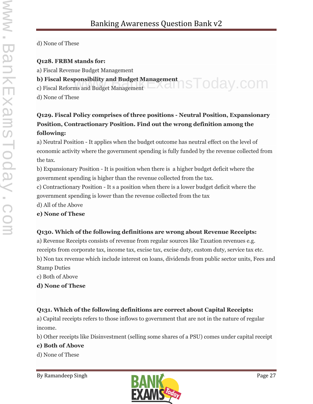d) None of These

#### **Q128. FRBM stands for:**

a) Fiscal Revenue Budget Management

#### **b) Fiscal Responsibility and Budget Management** b) Fiscal Responsibility and Budget Management<br>c) Fiscal Reforms and Budget Management

d) None of These

#### **Q129. Fiscal Policy comprises of three positions - Neutral Position, Expansionary Position, Contractionary Position. Find out the wrong definition among the following:**

a) Neutral Position - It applies when the budget outcome has neutral effect on the level of economic activity where the government spending is fully funded by the revenue collected from the tax.

b) Expansionary Position - It is position when there is a higher budget deficit where the government spending is higher than the revenue collected from the tax.

c) Contractionary Position - It s a position when there is a lower budget deficit where the government spending is lower than the revenue collected from the tax

d) All of the Above

#### **e) None of These**

#### **Q130. Which of the following definitions are wrong about Revenue Receipts:**

a) Revenue Receipts consists of revenue from regular sources like Taxation revenues e.g. receipts from corporate tax, income tax, excise tax, excise duty, custom duty, service tax etc. b) Non tax revenue which include interest on loans, dividends from public sector units, Fees and Stamp Duties

c) Both of Above

**d) None of These**

#### **Q131. Which of the following definitions are correct about Capital Receipts:**

a) Capital receipts refers to those inflows to government that are not in the nature of regular income.

b) Other receipts like Disinvestment (selling some shares of a PSU) comes under capital receipt

#### **c) Both of Above**

d) None of These

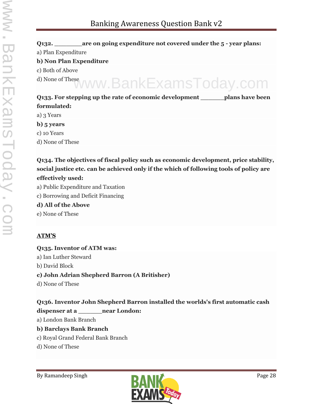#### **Q132. \_\_\_\_\_\_\_are on going expenditure not covered under the 5 - year plans:** a) Plan Expenditure **b) Non Plan Expenditure** c) Both of Above d) None of These **Q133. For stepping up the rate of economic development \_\_\_\_\_\_plans have been formulated:** a) 3 Years www.BankExamsToday.com

- **b) 5 years**
- c) 10 Years
- d) None of These

#### **Q134. The objectives of fiscal policy such as economic development, price stability, social justice etc. can be achieved only if the which of following tools of policy are effectively used:**

- a) Public Expenditure and Taxation
- c) Borrowing and Deficit Financing

#### **d) All of the Above**

e) None of These

#### **ATM'S**

**Q135. Inventor of ATM was:** a) Ian Luther Steward b) David Block **c) John Adrian Shepherd Barron (A Britisher)** d) None of These

#### **Q136. Inventor John Shepherd Barron installed the worlds's first automatic cash**

#### **dispenser at a \_\_\_\_\_\_near London:**

a) London Bank Branch

#### **b) Barclays Bank Branch**

- c) Royal Grand Federal Bank Branch
- d) None of These

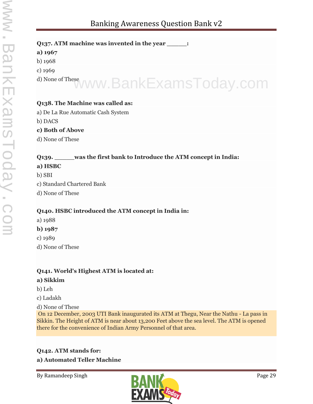#### **Q137. ATM machine was invented in the year \_\_\_\_\_:**

#### **a) 1967**

b) 1968

c) 1969

## d) None of These www.BankExamsToday.com

#### **Q138. The Machine was called as:**

a) De La Rue Automatic Cash System

b) DACS

#### **c) Both of Above**

d) None of These

#### **Q139. \_\_\_\_\_was the first bank to Introduce the ATM concept in India:**

#### **a) HSBC**

- b) SBI
- c) Standard Chartered Bank
- d) None of These

#### **Q140. HSBC introduced the ATM concept in India in:**

- a) 1988
- **b) 1987**
- c) 1989
- d) None of These

#### **Q141. World's Highest ATM is located at:**

#### **a) Sikkim**

- b) Leh
- c) Ladakh

d) None of These

On 12 December, 2003 UTI Bank inaugurated its ATM at Thegu, Near the Nathu - La pass in Sikkin. The Height of ATM is near about 13,200 Feet above the sea level. The ATM is opened there for the convenience of Indian Army Personnel of that area.

#### **Q142. ATM stands for: a) Automated Teller Machine**

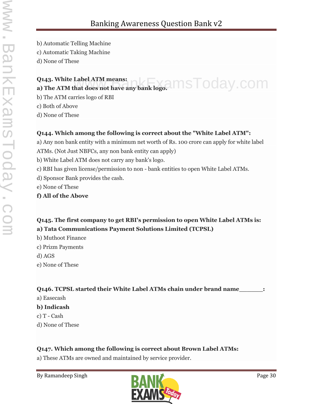b) Automatic Telling Machine c) Automatic Taking Machine

d) None of These

#### **Q143. White Label ATM means: Q143. White Label ATM means:**<br>a) The ATM that does not have any bank logo. INNSTOOay.COM

b) The ATM carries logo of RBI

c) Both of Above

d) None of These

#### **Q144. Which among the following is correct about the "White Label ATM":**

a) Any non bank entity with a minimum net worth of Rs. 100 crore can apply for white label ATMs. (Not Just NBFCs, any non bank entity can apply)

b) White Label ATM does not carry any bank's logo.

c) RBI has given license/permission to non - bank entities to open White Label ATMs.

- d) Sponsor Bank provides the cash.
- e) None of These
- **f) All of the Above**

#### **Q145. The first company to get RBI's permission to open White Label ATMs is: a) Tata Communications Payment Solutions Limited (TCPSL)**

- b) Muthoot Finance
- c) Prizm Payments

d) AGS

e) None of These

#### **Q146. TCPSL started their White Label ATMs chain under brand name\_\_\_\_\_\_:**

- a) Easecash
- **b) Indicash**
- c) T Cash
- d) None of These

#### **Q147. Which among the following is correct about Brown Label ATMs:**

a) These ATMs are owned and maintained by service provider.

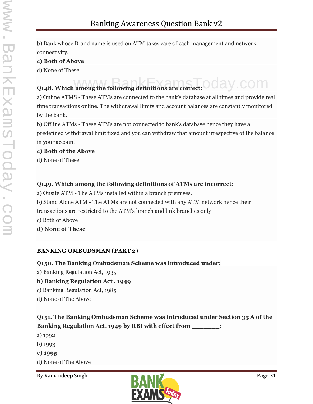b) Bank whose Brand name is used on ATM takes care of cash management and network connectivity.

#### **c) Both of Above**

d) None of These

## **Q148. Which among the following definitions are correct: OC AV COM**

a) Online ATMS - These ATMs are connected to the bank's database at all times and provide real time transactions online. The withdrawal limits and account balances are constantly monitored by the bank.

b) Offline ATMs - These ATMs are not connected to bank's database hence they have a predefined withdrawal limit fixed and you can withdraw that amount irrespective of the balance in your account.

#### **c) Both of the Above**

d) None of These

#### **Q149. Which among the following definitions of ATMs are incorrect:**

a) Onsite ATM - The ATMs installed within a branch premises.

b) Stand Alone ATM - The ATMs are not connected with any ATM network hence their

transactions are restricted to the ATM's branch and link branches only.

c) Both of Above

**d) None of These**

#### **BANKING OMBUDSMAN (PART 2)**

#### **Q150. The Banking Ombudsman Scheme was introduced under:**

- a) Banking Regulation Act, 1935
- **b) Banking Regulation Act , 1949**
- c) Banking Regulation Act, 1985
- d) None of The Above

#### **Q151. The Banking Ombudsman Scheme was introduced under Section 35 A of the Banking Regulation Act, 1949 by RBI with effect from \_\_\_\_\_\_\_:**

- a) 1992
- b) 1993
- **c) 1995**
- d) None of The Above

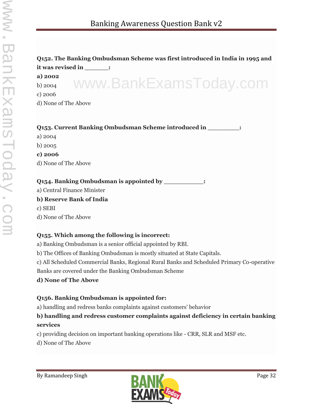#### **Q152. The Banking Ombudsman Scheme was first introduced in India in 1995 and it was revised in \_\_\_\_\_\_:**

#### **a) 2002**

b) 2004 c) 2006 www.BankExamsToday.com

d) None of The Above

| <b>Q153. Current Banking Ombudsman Scheme introduced in</b> |
|-------------------------------------------------------------|
|-------------------------------------------------------------|

- a) 2004
- b) 2005
- **c) 2006**
- d) None of The Above

**Q154. Banking Ombudsman is appointed by \_\_\_\_\_\_\_\_\_\_:**

a) Central Finance Minister

#### **b) Reserve Bank of India**

c) SEBI

d) None of The Above

#### **Q155. Which among the following is incorrect:**

a) Banking Ombudsman is a senior official appointed by RBI.

b) The Offices of Banking Ombudsman is mostly situated at State Capitals.

c) All Scheduled Commercial Banks, Regional Rural Banks and Scheduled Primary Co-operative

Banks are covered under the Banking Ombudsman Scheme

#### **d) None of The Above**

#### **Q156. Banking Ombudsman is appointed for:**

a) handling and redress banks complaints against customers' behavior

#### **b) handling and redress customer complaints against deficiency in certain banking services**

c) providing decision on important banking operations like - CRR, SLR and MSF etc.

d) None of The Above

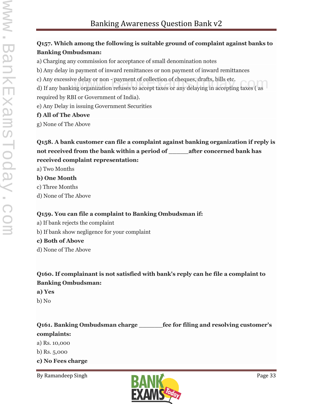#### **Q157. Which among the following is suitable ground of complaint against banks to Banking Ombudsman:**

a) Charging any commission for acceptance of small denomination notes

b) Any delay in payment of inward remittances or non payment of inward remittances

c) Any excessive delay or non - payment of collection of cheques, drafts, bills etc.

c) Any excessive delay or non - payment of collection of cheques, drafts, bills etc.<br>d) If any banking organization refuses to accept taxes or any delaying in accepting taxes ( as required by RBI or Government of India).

e) Any Delay in issuing Government Securities

#### **f) All of The Above**

g) None of The Above

#### **Q158. A bank customer can file a complaint against banking organization if reply is not received from the bank within a period of \_\_\_\_\_after concerned bank has received complaint representation:**

a) Two Months

#### **b) One Month**

c) Three Months

d) None of The Above

#### **Q159. You can file a complaint to Banking Ombudsman if:**

- a) If bank rejects the complaint
- b) If bank show negligence for your complaint

#### **c) Both of Above**

d) None of The Above

#### **Q160. If complainant is not satisfied with bank's reply can he file a complaint to Banking Ombudsman:**

#### **a) Yes**

b) No

### **Q161. Banking Ombudsman charge \_\_\_\_\_\_fee for filing and resolving customer's complaints:**

a) Rs. 10,000

b) Rs. 5,000

**c) No Fees charge**

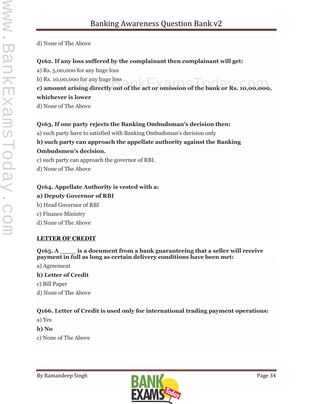d) None of The Above

#### **Q162. If any loss suffered by the complainant then complainant will get:**

a) Rs. 5,00,000 for any huge loss

b) Rs. 10,00,000 for any huge loss

## b) Rs. 10,00,000 for any huge loss<br>**c) amount arising directly out of the act or omission of the bank or Rs. 10,00,000, whichever is lower**

d) None of The Above

#### **Q163. If one party rejects the Banking Ombudsman's decision then:**

a) such party have to satisfied with Banking Ombudsman's decision only

#### **b) such party can approach the appellate authority against the Banking Ombudsmen's decision.**

c) such party can approach the governor of RBI.

d) None of The Above

#### **Q164. Appellate Authority is vested with a:**

#### **a) Deputy Governor of RBI**

- b) Head Governor of RBI
- c) Finance Ministry
- d) None of The Above

#### **LETTER OF CREDIT**

**Q165. A \_\_\_\_ is a document from a bank guaranteeing that a seller will receive payment in full as long as certain delivery conditions have been met:**

- a) Agreement
- **b) Letter of Credit**
- c) Bill Paper
- d) None of The Above

#### **Q166. Letter of Credit is used only for international trading payment operations:**

- a) Yes
- **b) No**
- c) None of The Above

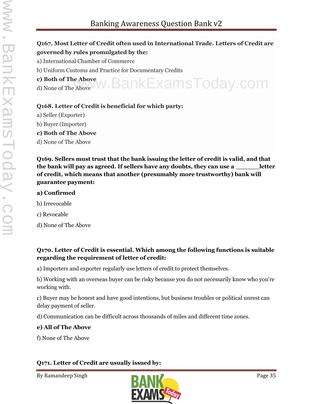### Banking Awareness Question Bank v2

#### **Q167. Most Letter of Credit often used in International Trade. Letters of Credit are governed by rules promulgated by the:**

- a) International Chamber of Commerce
- b) Uniform Customs and Practice for Documentary Credits
- **c) Both of The Above**
- c) Both of The Above W. BankExamsToday.com

#### **Q168. Letter of Credit is beneficial for which party:**

- a) Seller (Exporter)
- b) Buyer (Importer)
- **c) Both of The Above**
- d) None of The Above

**Q169. Sellers must trust that the bank issuing the letter of credit is valid, and that the bank will pay as agreed. If sellers have any doubts, they can use a \_\_\_\_\_\_letter of credit, which means that another (presumably more trustworthy) bank will guarantee payment:**

#### **a) Confirmed**

- b) Irrevocable
- c) Revocable
- d) None of The Above

#### **Q170. Letter of Credit is essential. Which among the following functions is suitable regarding the requirement of letter of credit:**

a) Importers and exporter regularly use letters of credit to protect themselves.

b) Working with an overseas buyer can be risky because you do not necessarily know who you're working with.

c) Buyer may be honest and have good intentions, but business troubles or political unrest can delay payment of seller.

d) Communication can be difficult across thousands of miles and different time zones.

#### **e) All of The Above**

f) None of The Above

#### **Q171. Letter of Credit are usually issued by:**

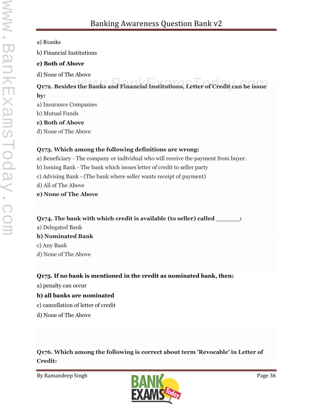a) B1anks

b) Financial Institutions

#### **c) Both of Above**

d) None of The Above

## **Q172. Besides the Banks and Financial Institutions, Letter of Credit can be issue by:**

- a) Insurance Companies
- b) Mutual Funds

#### **c) Both of Above**

d) None of The Above

#### **Q173. Which among the following definitions are wrong:**

- a) Beneficiary The company or individual who will receive the payment from buyer.
- b) Issuing Bank The bank which issues letter of credit to seller party
- c) Advising Bank (The bank where seller wants receipt of payment)
- d) All of The Above
- **e) None of The Above**

#### **Q174. The bank with which credit is available (to seller) called \_\_\_\_\_\_:**

- a) Delegated Bank **b) Nominated Bank** c) Any Bank
- d) None of The Above

#### **Q175. If no bank is mentioned in the credit as nominated bank, then:**

a) penalty can occur

#### **b) all banks are nominated**

- c) cancellation of letter of credit
- d) None of The Above

**Q176. Which among the following is correct about term 'Revocable' in Letter of Credit:**

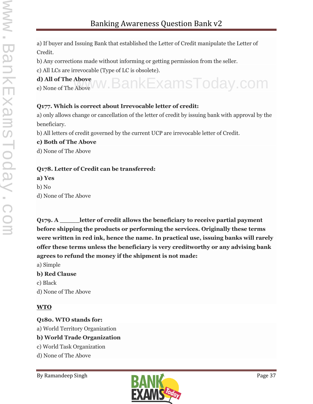a) If buyer and Issuing Bank that established the Letter of Credit manipulate the Letter of Credit.

b) Any corrections made without informing or getting permission from the seller.

c) All LCs are irrevocable (Type of LC is obsolete).

**d) All of The Above** d) All of The Above WW. BankExamsToday.com

### **Q177. Which is correct about Irrevocable letter of credit:**

a) only allows change or cancellation of the letter of credit by issuing bank with approval by the beneficiary.

b) All letters of credit governed by the current UCP are irrevocable letter of Credit.

**c) Both of The Above**

d) None of The Above

#### **Q178. Letter of Credit can be transferred:**

**a) Yes**

b) No

d) None of The Above

**Q179. A \_\_\_\_\_letter of credit allows the beneficiary to receive partial payment before shipping the products or performing the services. Originally these terms were written in red ink, hence the name. In practical use, issuing banks will rarely offer these terms unless the beneficiary is very creditworthy or any advising bank agrees to refund the money if the shipment is not made:**

a) Simple

#### **b) Red Clause**

c) Black

d) None of The Above

# **WTO**

**Q180. WTO stands for:** a) World Territory Organization

# **b) World Trade Organization**

- c) World Task Organization
- d) None of The Above

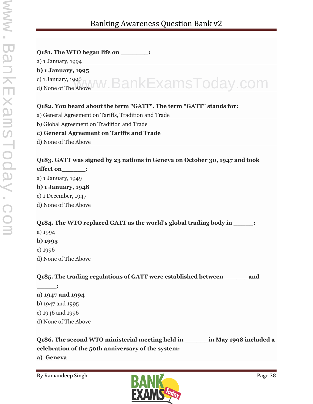#### **Q181. The WTO began life on \_\_\_\_\_\_\_:**

a) 1 January, 1994

**b) 1 January, 1995**

c) 1 January, 1996

c) 1 January, 1996<br>d) None of The Above W. BankExamsToday.com

### **Q182. You heard about the term "GATT". The term "GATT" stands for:**

- a) General Agreement on Tariffs, Tradition and Trade
- b) Global Agreement on Tradition and Trade

#### **c) General Agreement on Tariffs and Trade**

d) None of The Above

# **Q183. GATT was signed by 23 nations in Geneva on October 30, 1947 and took**

**effect on\_\_\_\_\_\_:**

a) 1 January, 1949

#### **b) 1 January, 1948**

c) 1 December, 1947

d) None of The Above

#### **Q184. The WTO replaced GATT as the world's global trading body in \_\_\_\_\_:**

a) 1994

#### **b) 1995**

c) 1996

**\_\_\_\_\_:**

d) None of The Above

**Q185. The trading regulations of GATT were established between \_\_\_\_\_\_and**

- **a) 1947 and 1994**
- b) 1947 and 1995
- c) 1946 and 1996
- d) None of The Above

**Q186. The second WTO ministerial meeting held in \_\_\_\_\_\_in May 1998 included a celebration of the 50th anniversary of the system:**

**a) Geneva**

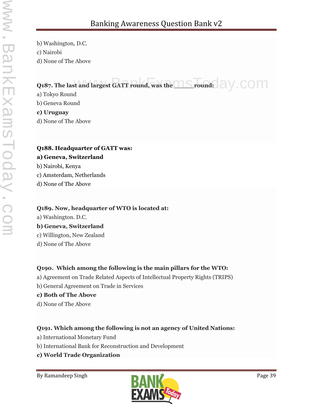b) Washington, D.C. c) Nairobi d) None of The Above

# **Q187. The last and largest GATT round, was the LAS round:** a W. COM

a) Tokyo Round

b) Geneva Round

**c) Uruguay**

d) None of The Above

### **Q188. Headquarter of GATT was:**

#### **a) Geneva, Switzerland**

b) Nairobi, Kenya

- c) Amsterdam, Netherlands
- d) None of The Above

#### **Q189. Now, headquarter of WTO is located at:**

a) Washington. D.C.

#### **b) Geneva, Switzerland**

c) Willington, New Zealand

d) None of The Above

# **Q190. Which among the following is the main pillars for the WTO:**

a) Agreement on Trade Related Aspects of Intellectual Property Rights (TRIPS)

b) General Agreement on Trade in Services

#### **c) Both of The Above**

d) None of The Above

# **Q191. Which among the following is not an agency of United Nations:**

- a) International Monetary Fund
- b) International Bank for Reconstruction and Development
- **c) World Trade Organization**

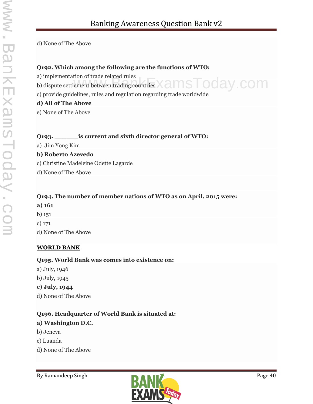d) None of The Above

#### **Q192. Which among the following are the functions of WTO:**

- a) implementation of trade related rules
- a) implementation of trade related rules<br>b) dispute settlement between trading countries  $\times$  ams  $\overline{\phantom{1}}$  oday . COM
- c) provide guidelines, rules and regulation regarding trade worldwide

#### **d) All of The Above**

e) None of The Above

#### **Q193. \_\_\_\_\_\_is current and sixth director general of WTO:**

a) Jim Yong Kim

#### **b) Roberto Azevedo**

- c) Christine Madeleine Odette Lagarde
- d) None of The Above

# **Q194. The number of member nations of WTO as on April, 2015 were:**

#### **a) 161**

- b) 151
- c) 171
- d) None of The Above

#### **WORLD BANK**

#### **Q195. World Bank was comes into existence on:**

- a) July, 1946
- b) July, 1945

#### **c) July, 1944**

d) None of The Above

#### **Q196. Headquarter of World Bank is situated at:**

#### **a) Washington D.C.**

- b) Jeneva
- c) Luanda
- d) None of The Above

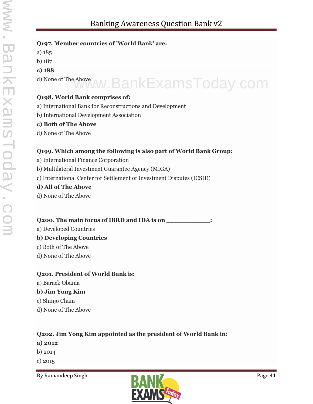- **Q197. Member countries of 'World Bank' are:**
- a) 185
- b) 187
- **c) 188**
- d) None of The Above www.BankExamsToday.com

#### **Q198. World Bank comprises of:**

- a) International Bank for Reconstructions and Development
- b) International Development Association

#### **c) Both of The Above**

d) None of The Above

#### **Q199. Which among the following is also part of World Bank Group:**

- a) International Finance Corporation
- b) Multilateral Investment Guarantee Agency (MIGA)
- c) International Center for Settlement of Investment Disputes (ICSID)

#### **d) All of The Above**

d) None of The Above

#### **Q200. The main focus of IBRD and IDA is on \_\_\_\_\_\_\_\_\_\_\_:**

a) Developed Countries

#### **b) Developing Countries**

- c) Both of The Above
- d) None of The Above

#### **Q201. President of World Bank is:**

a) Barack Obama

#### **b) Jim Yong Kim**

- c) Shinjo Chain
- d) None of The Above

#### **Q202. Jim Yong Kim appointed as the president of World Bank in:**

- **a) 2012**
- b) 2014
- c) 2015

By Ramandeep Singh Page 41

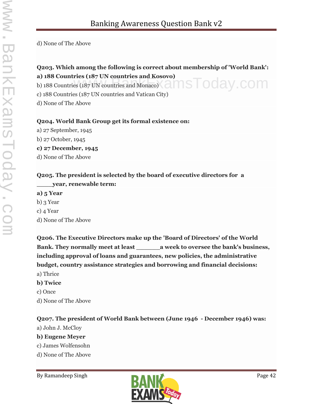d) None of The Above

### **Q203. Which among the following is correct about membership of 'World Bank': a) 188 Countries (187 UN countries and Kosovo)**

a) 188 Countries (187 UN countries and Nonaco)<br>b) 188 Countries (187 UN countries and Monaco)<br>almostrated Cay.com

c) 188 Countries (187 UN countries and Vatican City)

d) None of The Above

#### **Q204. World Bank Group get its formal existence on:**

a) 27 September, 1945

b) 27 October, 1945

**c) 27 December, 1945**

d) None of The Above

#### **Q205. The president is selected by the board of executive directors for a \_\_\_\_year, renewable term:**

- **a) 5 Year**
- b) 3 Year
- c) 4 Year
- d) None of The Above

**Q206. The Executive Directors make up the 'Board of Directors' of the World Bank. They normally meet at least \_\_\_\_\_\_a week to oversee the bank's business, including approval of loans and guarantees, new policies, the administrative budget, country assistance strategies and borrowing and financial decisions:** a) Thrice

- **b) Twice**
- c) Once
- d) None of The Above

#### **Q207. The president of World Bank between (June 1946 - December 1946) was:**

a) John J. McCloy

#### **b) Eugene Meyer**

- c) James Wolfensohn
- d) None of The Above

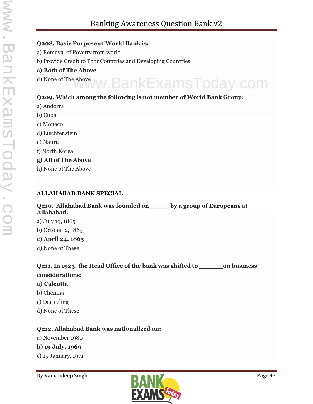#### **Q208. Basic Purpose of World Bank is:**

- a) Removal of Poverty from world
- b) Provide Credit to Poor Countries and Developing Countries

#### **c) Both of The Above**

d) None of The Above www.BankExamsToday.com

#### **Q209. Which among the following is not member of World Bank Group:**

- a) Andorra
- b) Cuba c) Monaco
- d) Liechtenstein
- e) Nauru
- f) North Korea

#### **g) All of The Above**

h) None of The Above

#### **ALLAHABAD BANK SPECIAL**

#### **Q210. Allahabad Bank was founded on\_\_\_\_\_ by a group of Europeans at Allahabad:**

a) July 19, 1865 b) October 2, 1865

#### **c) April 24, 1865**

d) None of These

**Q211. In 1923, the Head Office of the bank was shifted to \_\_\_\_\_\_on business considerations:**

#### **a) Calcutta**

- b) Chennai
- c) Darjeeling
- d) None of These

#### **Q212. Allahabad Bank was nationalized on:**

a) November 1980

#### **b) 19 July, 1969**

c) 15 January, 1971

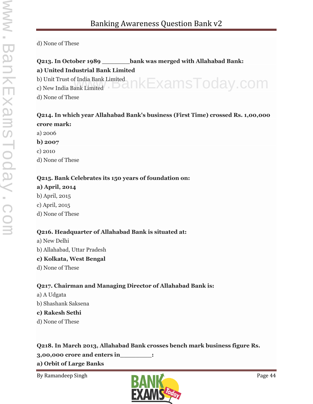d) None of These

#### **Q213. In October 1989 \_\_\_\_\_\_\_bank was merged with Allahabad Bank:**

#### **a) United Industrial Bank Limited**

b) Unit Trust of India Bank Limited b) Unit Trust of India Bank Limited $_{\rm c}$ ) New India Bank Limited  $_{\rm c}$   $\cap$  KE <code>xamsToday.com</code> d) None of These

#### **Q214. In which year Allahabad Bank's business (First Time) crossed Rs. 1,00,000 crore mark:**

a) 2006 **b) 2007**

c) 2010

d) None of These

#### **Q215. Bank Celebrates its 150 years of foundation on:**

**a) April, 2014** b) April, 2015

c) April, 2015

d) None of These

#### **Q216. Headquarter of Allahabad Bank is situated at:**

a) New Delhi b) Allahabad, Uttar Pradesh **c) Kolkata, West Bengal** d) None of These

#### **Q217. Chairman and Managing Director of Allahabad Bank is:**

a) A Udgata

b) Shashank Saksena

#### **c) Rakesh Sethi**

d) None of These

#### **Q218. In March 2013, Allahabad Bank crosses bench mark business figure Rs.**

**3,00,000 crore and enters in\_\_\_\_\_\_\_\_:**

#### **a) Orbit of Large Banks**

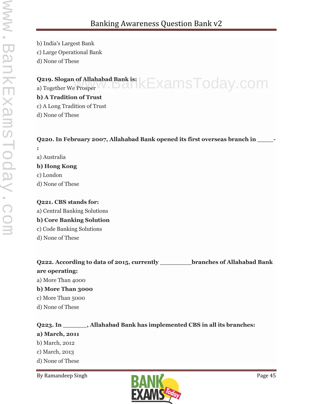b) India's Largest Bank c) Large Operational Bank d) None of These

# **Q219. Slogan of Allahabad Bank is:** a) Together We Prosper www.BankExamsToday.com

**b) A Tradition of Trust**

c) A Long Tradition of Trust

d) None of These

#### **Q220. In February 2007, Allahabad Bank opened its first overseas branch in \_\_\_\_-**

a) Australia **b) Hong Kong** c) London d) None of These

**:**

#### **Q221. CBS stands for:**

a) Central Banking Solutions

#### **b) Core Banking Solution**

c) Code Banking Solutions

d) None of These

| Q222. According to data of 2015, currently | branches of Allahabad Bank |
|--------------------------------------------|----------------------------|
| are operating:                             |                            |
| a) More Than 4000                          |                            |
| b) More Than 3000                          |                            |
| c) More Than 5000                          |                            |
|                                            |                            |

d) None of These

# **Q223. In \_\_\_\_\_\_, Allahabad Bank has implemented CBS in all its branches: a) March, 2011** b) March, 2012 c) March, 2013 d) None of These

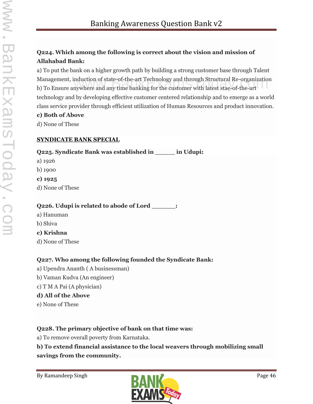# **Q224. Which among the following is correct about the vision and mission of Allahabad Bank:**

a) To put the bank on a higher growth path by building a strong customer base through Talent Management, induction of state-of-the-art Technology and through Structural Re-organization<br>b) To Ensure anywhere and any time banking for the customer with latest stae-of-the-art b) To Ensure anywhere and any time banking for the customer with latest stae-of-the-art technology and by developing effective customer centered relationship and to emerge as a world class service provider through efficient utilization of Human Resources and product innovation.

#### **c) Both of Above**

d) None of These

### **SYNDICATE BANK SPECIAL**

# **Q225. Syndicate Bank was established in \_\_\_\_\_ in Udupi:**

- a) 1926
- b) 1900
- **c) 1925**
- d) None of These

# **Q226. Udupi is related to abode of Lord \_\_\_\_\_\_:**

- a) Hanuman
- b) Shiva

# **c) Krishna**

d) None of These

# **Q227. Who among the following founded the Syndicate Bank:**

- a) Upendra Ananth ( A businessman)
- b) Vaman Kudva (An engineer)
- c) T M A Pai (A physician)

# **d) All of the Above**

e) None of These

# **Q228. The primary objective of bank on that time was:**

a) To remove overall poverty from Karnataka.

**b) To extend financial assistance to the local weavers through mobilizing small savings from the community.**

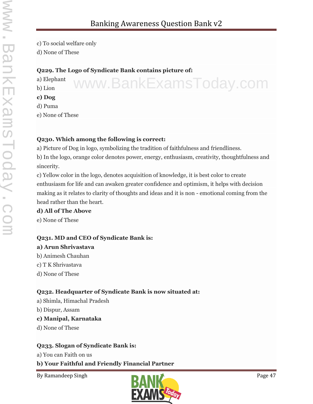www.BankExamsToday.com

c) To social welfare only

d) None of These

#### **Q229. The Logo of Syndicate Bank contains picture of:**

a) Elephant b) Lion **c) Dog** d) Puma

e) None of These

#### **Q230. Which among the following is correct:**

a) Picture of Dog in logo, symbolizing the tradition of faithfulness and friendliness.

b) In the logo, orange color denotes power, energy, enthusiasm, creativity, thoughtfulness and sincerity.

c) Yellow color in the logo, denotes acquisition of knowledge, it is best color to create enthusiasm for life and can awaken greater confidence and optimism, it helps with decision making as it relates to clarity of thoughts and ideas and it is non - emotional coming from the head rather than the heart.

#### **d) All of The Above**

e) None of These

#### **Q231. MD and CEO of Syndicate Bank is:**

#### **a) Arun Shrivastava**

- b) Animesh Chauhan
- c) T K Shrivastava
- d) None of These

# **Q232. Headquarter of Syndicate Bank is now situated at:**

- a) Shimla, Himachal Pradesh
- b) Dispur, Assam

#### **c) Manipal, Karnataka**

d) None of These

#### **Q233. Slogan of Syndicate Bank is:**

a) You can Faith on us

# **b) Your Faithful and Friendly Financial Partner**

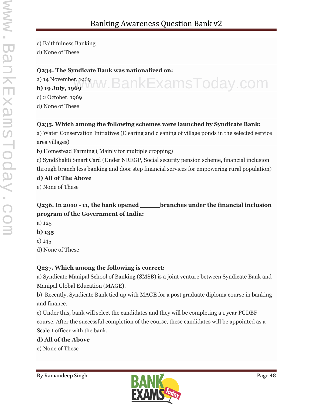c) Faithfulness Banking

d) None of These

#### **Q234. The Syndicate Bank was nationalized on:**

a) 14 November, 1969 **b) 19 July, 1969** www.BankExamsToday.com

c) 2 October, 1969

d) None of These

# **Q235. Which among the following schemes were launched by Syndicate Bank:**

a) Water Conservation Initiatives (Clearing and cleaning of village ponds in the selected service area villages)

b) Homestead Farming ( Mainly for multiple cropping)

c) SyndShakti Smart Card (Under NREGP, Social security pension scheme, financial inclusion through branch less banking and door step financial services for empowering rural population)

#### **d) All of The Above**

e) None of These

# **Q236. In 2010 - 11, the bank opened \_\_\_\_\_branches under the financial inclusion program of the Government of India:**

- a) 125
- **b) 135**
- c) 145

d) None of These

# **Q237. Which among the following is correct:**

a) Syndicate Manipal School of Banking (SMSB) is a joint venture between Syndicate Bank and Manipal Global Education (MAGE).

b) Recently, Syndicate Bank tied up with MAGE for a post graduate diploma course in banking and finance.

c) Under this, bank will select the candidates and they will be completing a 1 year PGDBF course. After the successful completion of the course, these candidates will be appointed as a Scale 1 officer with the bank.

# **d) All of the Above**

e) None of These

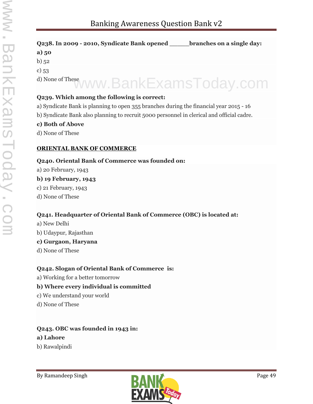| Q238. In 2009 - 2010, Syndicate Bank opened branches on a single day:                     |  |  |
|-------------------------------------------------------------------------------------------|--|--|
| a) $50$                                                                                   |  |  |
| b) $52$                                                                                   |  |  |
| c) $53$                                                                                   |  |  |
| d) None of These WWW. BankExamsToday.com                                                  |  |  |
| Q239. Which among the following is correct:                                               |  |  |
| a) Syndicate Bank is planning to open 355 branches during the financial year 2015 - 16    |  |  |
| b) Syndicate Bank also planning to recruit 5000 personnel in clerical and official cadre. |  |  |

#### **c) Both of Above**

d) None of These

#### **ORIENTAL BANK OF COMMERCE**

#### **Q240. Oriental Bank of Commerce was founded on:**

a) 20 February, 1943

#### **b) 19 February, 1943**

- c) 21 February, 1943
- d) None of These

#### **Q241. Headquarter of Oriental Bank of Commerce (OBC) is located at:**

a) New Delhi b) Udaypur, Rajasthan

#### **c) Gurgaon, Haryana**

d) None of These

#### **Q242. Slogan of Oriental Bank of Commerce is:**

a) Working for a better tomorrow

#### **b) Where every individual is committed**

- c) We understand your world
- d) None of These

# **Q243. OBC was founded in 1943 in:**

#### **a) Lahore**

b) Rawalpindi

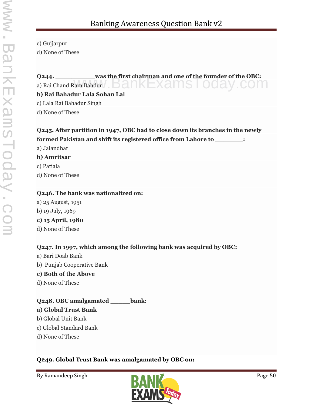- c) Gujjarpur
- d) None of These

# **Q244. \_\_\_\_\_\_\_\_\_\_was the first chairman and one of the founder of the OBC:**  $Q$ 244. <u>was the first chairman and one of the founder of the OBC:</u><br>a) Rai Chand Ram Bahdur  $B$

#### **b) Rai Bahadur Lala Sohan Lal**

c) Lala Rai Bahadur Singh

d) None of These

# **Q245. After partition in 1947, OBC had to close down its branches in the newly formed Pakistan and shift its registered office from Lahore to \_\_\_\_\_\_\_:**

a) Jalandhar

#### **b) Amritsar**

c) Patiala

d) None of These

#### **Q246. The bank was nationalized on:**

a) 25 August, 1951 b) 19 July, 1969 **c) 15 April, 1980** d) None of These

# **Q247. In 1997, which among the following bank was acquired by OBC:**

a) Bari Doab Bank b) Punjab Cooperative Bank **c) Both of the Above** d) None of These

# **Q248. OBC amalgamated \_\_\_\_\_bank:**

# **a) Global Trust Bank**

- b) Global Unit Bank
- c) Global Standard Bank
- d) None of These

# **Q249. Global Trust Bank was amalgamated by OBC on:**

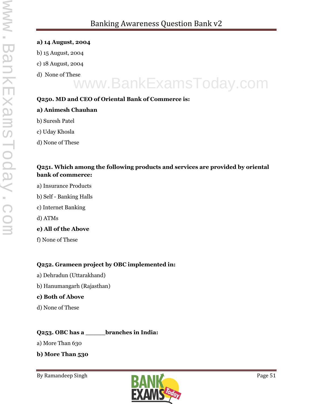- **a) 14 August, 2004**
- b) 15 August, 2004
- c) 18 August, 2004
- d) None of These

# www.BankExamsToday.com

#### **Q250. MD and CEO of Oriental Bank of Commerce is:**

#### **a) Animesh Chauhan**

- b) Suresh Patel
- c) Uday Khosla
- d) None of These

#### **Q251. Which among the following products and services are provided by oriental bank of commerce:**

- a) Insurance Products
- b) Self Banking Halls
- c) Internet Banking
- d) ATMs
- **e) All of the Above**
- f) None of These

#### **Q252. Grameen project by OBC implemented in:**

- a) Dehradun (Uttarakhand)
- b) Hanumangarh (Rajasthan)

#### **c) Both of Above**

d) None of These

# **Q253. OBC has a \_\_\_\_\_branches in India:**

a) More Than 630

**b) More Than 530**

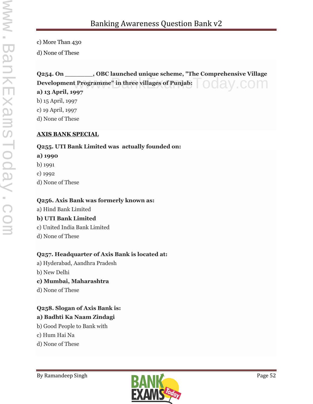c) More Than 430

d) None of These

#### **Q254. On \_\_\_\_\_\_\_, OBC launched unique scheme, "The Comprehensive Village Development Programme" in three villages of Punjab:** t Programme" in three villages of Punjab: COM

**a) 13 April, 1997**

b) 15 April, 1997 c) 19 April, 1997

d) None of These

#### **AXIS BANK SPECIAL**

#### **Q255. UTI Bank Limited was actually founded on:**

#### **a) 1990**

- b) 1991
- c) 1992
- d) None of These

#### **Q256. Axis Bank was formerly known as:**

- a) Hind Bank Limited **b) UTI Bank Limited** c) United India Bank Limited
- d) None of These

#### **Q257. Headquarter of Axis Bank is located at:**

- a) Hyderabad, Aandhra Pradesh
- b) New Delhi
- **c) Mumbai, Maharashtra**
- d) None of These

# **Q258. Slogan of Axis Bank is:**

# **a) Badhti Ka Naam Zindagi**

- b) Good People to Bank with
- c) Hum Hai Na
- d) None of These

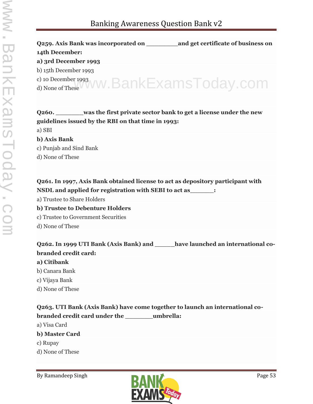**Q259. Axis Bank was incorporated on \_\_\_\_\_\_\_\_and get certificate of business on 14th December: a) 3rd December 1993** b) 15th December 1993 c) 10 December 1993 c) 10 December 1993<br>d) None of These VWW. BankExamsToday.com

# **Q260. \_\_\_\_\_\_\_was the first private sector bank to get a license under the new guidelines issued by the RBI on that time in 1993:** a) SBI **b) Axis Bank** c) Punjab and Sind Bank d) None of These

### **Q261. In 1997, Axis Bank obtained license to act as depository participant with NSDL and applied for registration with SEBI to act as\_\_\_\_\_\_:**

- a) Trustee to Share Holders
- **b) Trustee to Debenture Holders**
- c) Trustee to Government Securities
- d) None of These

# **Q262. In 1999 UTI Bank (Axis Bank) and \_\_\_\_\_have launched an international co branded credit card:**

#### **a) Citibank**

- b) Canara Bank
- c) Vijaya Bank
- d) None of These

**Q263. UTI Bank (Axis Bank) have come together to launch an international co branded credit card under the \_\_\_\_\_\_\_umbrella:**

a) Visa Card

- **b) Master Card**
- c) Rupay
- d) None of These

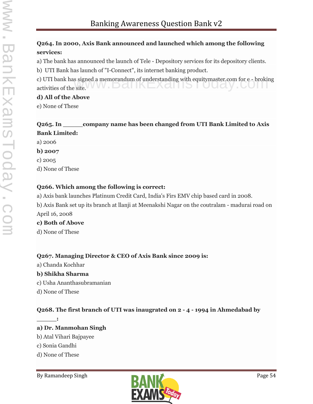# **Q264. In 2000, Axis Bank announced and launched which among the following services:**

a) The bank has announced the launch of Tele - Depository services for its depository clients.

b) UTI Bank has launch of "I-Connect", its internet banking product.

c) UTI bank has signed a memorandum of understanding with equitymaster.com for e - broking c) UTI bank has signed a memorandum of understanding with equitymaster.com for e - brokin activities of the site.

#### **d) All of the Above**

e) None of These

### **Q265. In \_\_\_\_\_company name has been changed from UTI Bank Limited to Axis Bank Limited:**

a) 2006

**b) 2007**

c) 2005

d) None of These

# **Q266. Which among the following is correct:**

a) Axis bank launches Platinum Credit Card, India's Firs EMV chip based card in 2008.

b) Axis Bank set up its branch at llanji at Meenakshi Nagar on the coutralam - madurai road on April 16, 2008

# **c) Both of Above**

d) None of These

# **Q267. Managing Director & CEO of Axis Bank since 2009 is:**

a) Chanda Kochhar

# **b) Shikha Sharma**

- c) Usha Ananthasubramanian
- d) None of These

# **Q268. The first branch of UTI was inaugrated on 2 - 4 - 1994 in Ahmedabad by**

**a) Dr. Manmohan Singh**

- b) Atal Vihari Bajpayee
- c) Sonia Gandhi

 $\mathbf{r}$ 

d) None of These

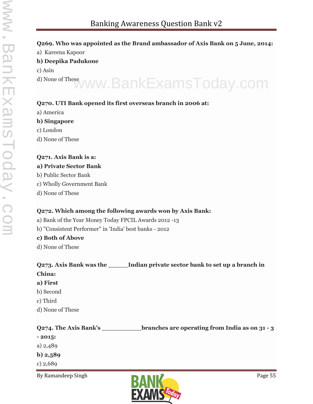#### **Q269. Who was appointed as the Brand ambassador of Axis Bank on 5 June, 2014:**

a) Kareena Kapoor

#### **b) Deepika Padukone**

- c) Asin
- d) None of These www.BankExamsToday.com

#### **Q270. UTI Bank opened its first overseas branch in 2006 at:**

a) America

#### **b) Singapore**

- c) London
- d) None of These

#### **Q271. Axis Bank is a:**

#### **a) Private Sector Bank**

- b) Public Sector Bank
- c) Wholly Government Bank
- d) None of These

#### **Q272. Which among the following awards won by Axis Bank:**

a) Bank of the Year Money Today FPCIL Awards 2012 -13

b) "Consistent Performer" in 'India' best banks - 2012

#### **c) Both of Above**

d) None of These

#### **Q273. Axis Bank was the \_\_\_\_\_Indian private sector bank to set up a branch in China: a) First**

- b) Second
- c) Third
- d) None of These

# **Q274. The Axis Bank's \_\_\_\_\_\_\_\_\_\_branches are operating from India as on 31 - 3**

- **- 2015:**
- a) 2,489
- **b) 2,589**
- c) 2,689

By Ramandeep Singh Page 55

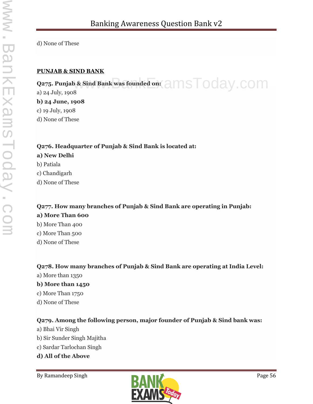d) None of These

#### **PUNJAB & SIND BANK**

**Q275. Punjab & Sind Bank was founded on:** a) 24 July, 1908 **b) 24 June, 1908** c) 19 July, 1908 d) None of These  $\infty$  & Sind Bank was founded on:  $\supseteq m$ S  $\bigcap$  O  $\bigcap$   $\bigcap$   $\bigcap$ 

**Q276. Headquarter of Punjab & Sind Bank is located at: a) New Delhi** b) Patiala c) Chandigarh d) None of These

# **Q277. How many branches of Punjab & Sind Bank are operating in Punjab: a) More Than 600**

b) More Than 400 c) More Than 500 d) None of These

#### **Q278. How many branches of Punjab & Sind Bank are operating at India Level:**

a) More than 1350

#### **b) More than 1450**

- c) More Than 1750
- d) None of These

#### **Q279. Among the following person, major founder of Punjab & Sind bank was:**

- a) Bhai Vir Singh
- b) Sir Sunder Singh Majitha
- c) Sardar Tarlochan Singh
- **d) All of the Above**

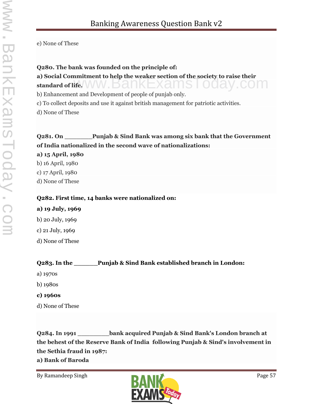e) None of These

#### **Q280. The bank was founded on the principle of:**

**a) Social Commitment to help the weaker section of the society to raise their**<br>standard of life. **standard of life.**

b) Enhancement and Development of people of punjab only.

c) To collect deposits and use it against british management for patriotic activities.

d) None of These

# **Q281. On \_\_\_\_\_\_\_Punjab & Sind Bank was among six bank that the Government of India nationalized in the second wave of nationalizations:**

**a) 15 April, 1980**

b) 16 April, 1980

c) 17 April, 1980

d) None of These

#### **Q282. First time, 14 banks were nationalized on:**

# **a) 19 July, 1969**

b) 20 July, 1969

c) 21 July, 1969

d) None of These

# **Q283. In the \_\_\_\_\_\_Punjab & Sind Bank established branch in London:**

- a) 1970s
- b) 1980s

# **c) 1960s**

d) None of These

**Q284. In 1991 \_\_\_\_\_\_\_\_bank acquired Punjab & Sind Bank's London branch at the behest of the Reserve Bank of India following Punjab & Sind's involvement in the Sethia fraud in 1987:**

**a) Bank of Baroda**

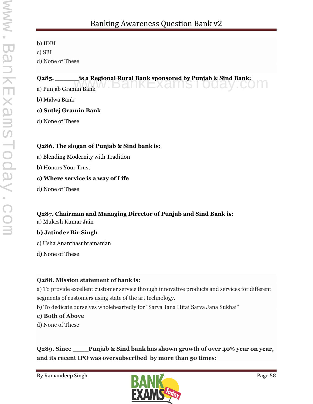b) IDBI c) SBI d) None of These

**Q285. \_\_\_\_\_\_\_\_\_is a Regional Rural Bank sponsored by Punjab & Sind Bank:**<br>a) Punjab Gramin Bank a) Punjab Gramin Bank W. DCI INEXCIIIS I

b) Malwa Bank

#### **c) Sutlej Gramin Bank**

d) None of These

#### **Q286. The slogan of Punjab & Sind bank is:**

a) Blending Modernity with Tradition

b) Honors Your Trust

#### **c) Where service is a way of Life**

d) None of These

# **Q287. Chairman and Managing Director of Punjab and Sind Bank is:**

a) Mukesh Kumar Jain

#### **b) Jatinder Bir Singh**

- c) Usha Ananthasubramanian
- d) None of These

#### **Q288. Mission statement of bank is:**

a) To provide excellent customer service through innovative products and services for different segments of customers using state of the art technology.

b) To dedicate ourselves wholeheartedly for "Sarva Jana Hitai Sarva Jana Sukhai"

#### **c) Both of Above**

d) None of These

**Q289. Since \_\_\_\_Punjab & Sind bank has shown growth of over 40% year on year, and its recent IPO was oversubscribed by more than 50 times:**

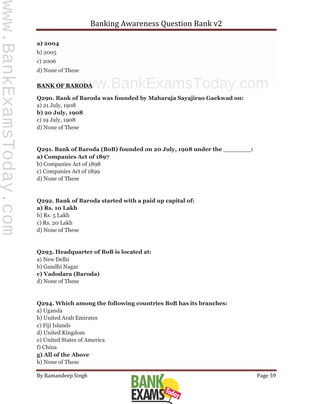#### **a) 2004**

b) 2005

c) 2006

d) None of These

# **BANK OF BARODA W. BankExamsToday.com**

#### **Q290. Bank of Baroda was founded by Maharaja Sayajirao Gaekwad on:**

a) 21 July, 1908 **b) 20 July, 1908** c) 19 July, 1908 d) None of These

### **Q291. Bank of Baroda (BoB) founded on 20 July, 1908 under the \_\_\_\_\_\_\_:**

#### **a) Companies Act of 1897**

- b) Companies Act of 1898
- c) Companies Act of 1899
- d) None of These

# **Q292. Bank of Baroda started with a paid up capital of:**

**a) Rs. 10 Lakh** b) Rs. 5 Lakh c) Rs. 20 Lakh d) None of These

#### **Q293. Headquarter of BoB is located at:**

a) New Delhi b) Gandhi Nagar

- **c) Vadodara (Baroda)**
- d) None of These

# **Q294. Which among the following countries BoB has its branches:**

- a) Uganda
- b) United Arab Emirates
- c) Fiji Islands
- d) United Kingdom
- e) United States of America
- f) China

#### **g) All of the Above**

h) None of These

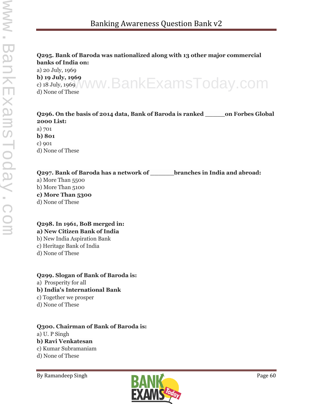#### **Q295. Bank of Baroda was nationalized along with 13 other major commercial banks of India on:**

a) 20 July, 1969 **b) 19 July, 1969** c) 18 July, 1969 b) 19 July, 1969<br>c) 18 July, 1969 WWW.BankExamsToday.com

**Q296. On the basis of 2014 data, Bank of Baroda is ranked \_\_\_\_\_on Forbes Global 2000 List:**

a) 701 **b) 801** c) 901 d) None of These

**Q297. Bank of Baroda has a network of \_\_\_\_\_\_branches in India and abroad:**

- a) More Than 5500 b) More Than 5100 **c) More Than 5300**
- d) None of These

#### **Q298. In 1961, BoB merged in: a) New Citizen Bank of India**

- b) New India Aspiration Bank
- c) Heritage Bank of India
- d) None of These

#### **Q299. Slogan of Bank of Baroda is:**

a) Prosperity for all

#### **b) India's International Bank**

- c) Together we prosper
- d) None of These

# **Q300. Chairman of Bank of Baroda is:**

- a) U. P Singh **b) Ravi Venkatesan**
- c) Kumar Subramaniam
- d) None of These

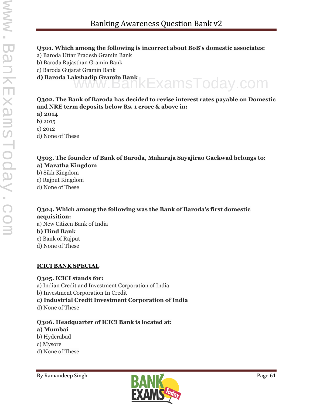#### **Q301. Which among the following is incorrect about BoB's domestic associates:**

- a) Baroda Uttar Pradesh Gramin Bank
- b) Baroda Rajasthan Gramin Bank
- c) Baroda Gujarat Gramin Bank
- **d) Baroda Lakshadip Gramin Bank** www.BankExamsToday.com

#### **Q302. The Bank of Baroda has decided to revise interest rates payable on Domestic and NRE term deposits below Rs. 1 crore & above in:**

- **a) 2014**
- b) 2015
- c) 2012
- d) None of These

#### **Q303. The founder of Bank of Baroda, Maharaja Sayajirao Gaekwad belongs to: a) Maratha Kingdom**

- b) Sikh Kingdom
- c) Rajput Kingdom
- d) None of These

# **Q304. Which among the following was the Bank of Baroda's first domestic acquisition:**

a) New Citizen Bank of India **b) Hind Bank** c) Bank of Rajput d) None of These

#### **ICICI BANK SPECIAL**

#### **Q305. ICICI stands for:**

- a) Indian Credit and Investment Corporation of India
- b) Investment Corporation In Credit
- **c) Industrial Credit Investment Corporation of India**
- d) None of These

#### **Q306. Headquarter of ICICI Bank is located at:**

#### **a) Mumbai**

- b) Hyderabad
- c) Mysore
- d) None of These

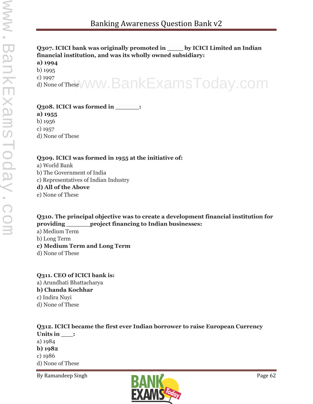### **Q307. ICICI bank was originally promoted in \_\_\_\_ by ICICI Limited an Indian financial institution, and was its wholly owned subsidiary:**

#### **a) 1994**

b) 1995

c) 1997 <sup>c) 1997</sup><br>d) None of TheseVWW.BankExamsToday.com

#### **Q308. ICICI was formed in \_\_\_\_\_\_:**

**a) 1955**

b) 1956

c) 1957

d) None of These

#### **Q309. ICICI was formed in 1955 at the initiative of:**

a) World Bank b) The Government of India c) Representatives of Indian Industry **d) All of the Above** e) None of These

**Q310. The principal objective was to create a development financial institution for providing \_\_\_\_\_\_project financing to Indian businesses:**

a) Medium Term b) Long Term **c) Medium Term and Long Term**

d) None of These

**Q311. CEO of ICICI bank is:** a) Arundhati Bhattacharya **b) Chanda Kochhar** c) Indira Nuyi d) None of These

#### **Q312. ICICI became the first ever Indian borrower to raise European Currency Units in \_\_\_:** a) 1984 **b) 1982** c) 1986 d) None of These

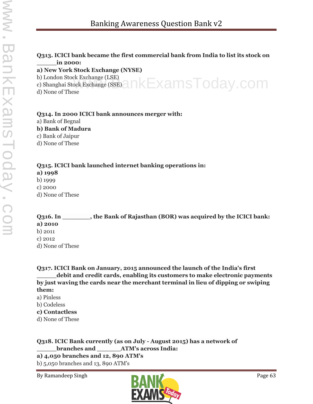#### **Q313. ICICI bank became the first commercial bank from India to list its stock on \_\_\_\_\_in 2000:**

#### **a) New York Stock Exchange (NYSE)**

b) London Stock Exchange (LSE)

b) London Stock Exchange (LSE)<br>c) Shanghai Stock Exchange (SSE) A  $\mathsf{K}\mathsf{Exam}\mathsf{s}\mathsf{T}\mathsf{od}$ ay . COM

d) None of These

#### **Q314. In 2000 ICICI bank announces merger with:**

a) Bank of Begnal

#### **b) Bank of Madura**

c) Bank of Jaipur

d) None of These

#### **Q315. ICICI bank launched internet banking operations in:**

**a) 1998**

b) 1999

c) 2000

d) None of These

**Q316. In \_\_\_\_\_\_\_, the Bank of Rajasthan (BOR) was acquired by the ICICI bank: a) 2010** b) 2011 c) 2012 d) None of These

**Q317. ICICI Bank on January, 2015 announced the launch of the India's first \_\_\_\_\_debit and credit cards, enabling its customers to make electronic payments by just waving the cards near the merchant terminal in lieu of dipping or swiping them:**

- a) Pinless
- b) Codeless

#### **c) Contactless**

d) None of These

**Q318. ICIC Bank currently (as on July - August 2015) has a network of \_\_\_\_\_branches and \_\_\_\_\_\_ATM's across India:**

**a) 4,050 branches and 12, 890 ATM's**

b) 5,050 branches and 13, 890 ATM's

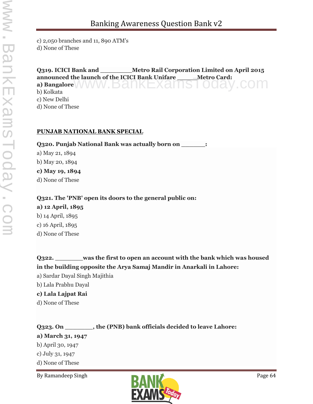c) 2,050 branches and 11, 890 ATM's d) None of These

**Q319. ICICI Bank and \_\_\_\_\_\_\_\_Metro Rail Corporation Limited on April 2015 announced the launch of the ICICI Bank Unifare \_\_\_\_\_Metro Card: announced the launch of the ICICI Bank Unifare \_\_\_\_\_\_Metro Card:**<br>a) Bangalore<br>h) Kelliste b) Kolkata c) New Delhi

d) None of These

#### **PUNJAB NATIONAL BANK SPECIAL**

**Q320. Punjab National Bank was actually born on \_\_\_\_\_\_:**

a) May 21, 1894 b) May 20, 1894 **c) May 19, 1894** d) None of These

# **Q321. The 'PNB' open its doors to the general public on:**

**a) 12 April, 1895** b) 14 April, 1895 c) 16 April, 1895 d) None of These

**Q322. \_\_\_\_\_\_\_was the first to open an account with the bank which was housed in the building opposite the Arya Samaj Mandir in Anarkali in Lahore:** a) Sardar Dayal Singh Majithia b) Lala Prabhu Dayal **c) Lala Lajpat Rai**

d) None of These

**Q323. On \_\_\_\_\_\_\_, the (PNB) bank officials decided to leave Lahore: a) March 31, 1947**

b) April 30, 1947

c) July 31, 1947

d) None of These

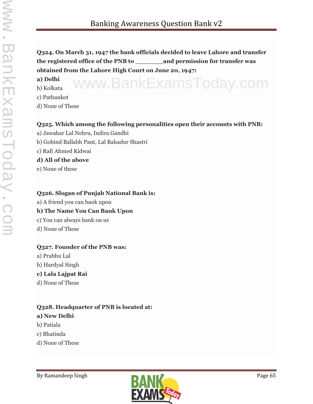**Q324. On March 31, 1947 the bank officials decided to leave Lahore and transfer the registered office of the PNB to \_\_\_\_\_\_\_and permission for transfer was obtained from the Lahore High Court on June 20, 1947:**

**a) Delhi** b) Kolkata www.BankExamsToday.com

- c) Pathankot
- d) None of These

#### **Q325. Which among the following personalities open their accounts with PNB:**

- a) Jawahar Lal Nehru, Indira Gandhi
- b) Gobind Ballabh Pant, Lal Bahadur Shastri
- c) Rafi Ahmed Kidwai

#### **d) All of the above**

e) None of these

#### **Q326. Slogan of Punjab National Bank is:**

a) A friend you can bank upon

#### **b) The Name You Can Bank Upon**

- c) You can always bank on us
- d) None of These

#### **Q327. Founder of the PNB was:**

- a) Prabhu Lal b) Hardyal Singh
- **c) Lala Lajpat Rai**
- d) None of These

# **Q328. Headquarter of PNB is located at:**

#### **a) New Delhi**

- b) Patiala
- c) Bhatinda
- d) None of These

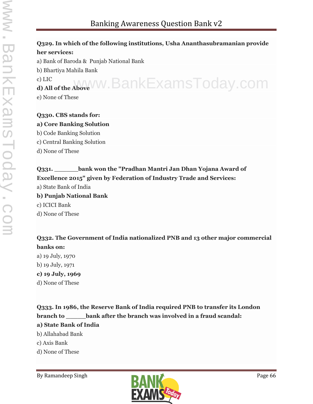# **Q329. In which of the following institutions, Usha Ananthasubramanian provide her services:**

a) Bank of Baroda & Punjab National Bank b) Bhartiya Mahila Bank c) LIC **d) All of the Above** www.BankExamsToday.com e) None of These

**Q330. CBS stands for: a) Core Banking Solution** b) Code Banking Solution c) Central Banking Solution d) None of These

### **Q331. \_\_\_\_\_\_bank won the "Pradhan Mantri Jan Dhan Yojana Award of Excellence 2015" given by Federation of Industry Trade and Services:**

a) State Bank of India **b) Punjab National Bank** c) ICICI Bank

d) None of These

# **Q332. The Government of India nationalized PNB and 13 other major commercial banks on:**

- a) 19 July, 1970
- b) 19 July, 1971
- **c) 19 July, 1969**
- d) None of These

**Q333. In 1986, the Reserve Bank of India required PNB to transfer its London branch to \_\_\_\_\_bank after the branch was involved in a fraud scandal: a) State Bank of India**

- b) Allahabad Bank
- c) Axis Bank
- d) None of These

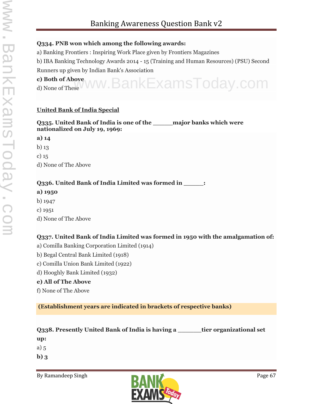#### **Q334. PNB won which among the following awards:**

a) Banking Frontiers : Inspiring Work Place given by Frontiers Magazines

b) IBA Banking Technology Awards 2014 - 15 (Training and Human Resources) (PSU) Second Runners up given by Indian Bank's Association

#### **c) Both of Above**

c) Both of Above WW. BankExamsToday.com

#### **United Bank of India Special**

**Q335. United Bank of India is one of the \_\_\_\_\_major banks which were nationalized on July 19, 1969:**

#### **a) 14**

- b) 13
- c) 15

d) None of The Above

#### **Q336. United Bank of India Limited was formed in**  $\cdot$ **.**

- **a) 1950**
- b) 1947
- c) 1951
- d) None of The Above

#### **Q337. United Bank of India Limited was formed in 1950 with the amalgamation of:**

- a) Comilla Banking Corporation Limited (1914)
- b) Begal Central Bank Limited (1918)
- c) Comilla Union Bank Limited (1922)
- d) Hooghly Bank Limited (1932)

#### **e) All of The Above**

f) None of The Above

**(Establishment years are indicated in brackets of respective banks)**

**Q338. Presently United Bank of India is having a \_\_\_\_\_\_tier organizational set**

**up:**

- a) 5
- **b) 3**

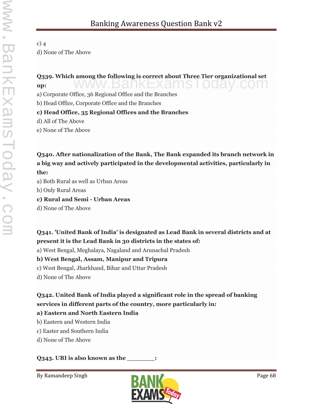# c) 4 d) None of The Above

# Q339. Which among the following is correct about Three Tier organizational set<br>up: **up:**

a) Corporate Office, 36 Regional Office and the Branches

b) Head Office, Corporate Office and the Branches

### **c) Head Office, 35 Regional Offices and the Branches**

d) All of The Above

e) None of The Above

**Q340. After nationalization of the Bank, The Bank expanded its branch network in a big way and actively participated in the developmental activities, particularly in the:**

a) Both Rural as well as Urban Areas

b) Only Rural Areas

**c) Rural and Semi - Urban Areas**

d) None of The Above

# **Q341. 'United Bank of India' is designated as Lead Bank in several districts and at present it is the Lead Bank in 30 districts in the states of:**

a) West Bengal, Meghalaya, Nagaland and Arunachal Pradesh

# **b) West Bengal, Assam, Manipur and Tripura**

c) West Bengal, Jharkhand, Bihar and Uttar Pradesh

d) None of The Above

# **Q342. United Bank of India played a significant role in the spread of banking services in different parts of the country, more particularly in:**

# **a) Eastern and North Eastern India**

- b) Eastern and Western India
- c) Easter and Southern India
- d) None of The Above

# **Q343. UBI is also known as the \_\_\_\_\_\_\_:**

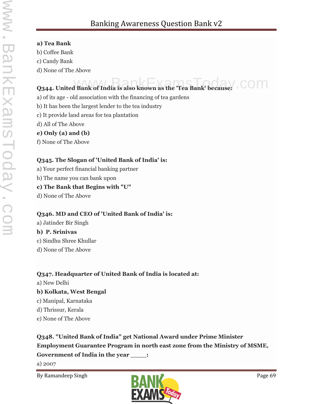#### **a) Tea Bank**

- b) Coffee Bank
- c) Candy Bank
- d) None of The Above

# **Q344. United Bank of India is also known as the 'Tea Bank' because:**

- a) of its age old association with the financing of tea gardens
- b) It has been the largest lender to the tea industry
- c) It provide land areas for tea plantation
- d) All of The Above

# **e) Only (a) and (b)**

f) None of The Above

### **Q345. The Slogan of 'United Bank of India' is:**

- a) Your perfect financial banking partner
- b) The name you can bank upon

### **c) The Bank that Begins with "U"**

d) None of The Above

# **Q346. MD and CEO of 'United Bank of India' is:**

a) Jatinder Bir Singh **b) P. Srinivas** c) Sindhu Shree Khullar d) None of The Above

# **Q347. Headquarter of United Bank of India is located at:**

a) New Delhi

# **b) Kolkata, West Bengal**

- c) Manipal, Karnataka
- d) Thrissur, Kerala
- e) None of The Above

# **Q348. "United Bank of India" get National Award under Prime Minister Employment Guarantee Program in north east zone from the Ministry of MSME, Government of India in the year \_\_\_\_:**

a) 2007

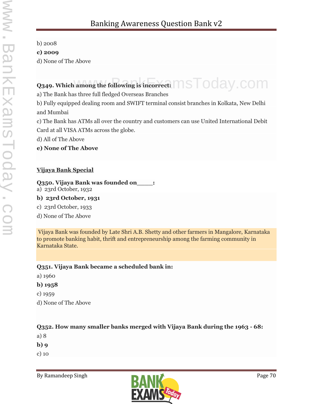b) 2008

**c) 2009**

d) None of The Above

# Q349. Which among the following is incorrect:  $\mathsf{MSTOday}$  .  $\mathsf{COM}$

a) The Bank has three full fledged Overseas Branches

b) Fully equipped dealing room and SWIFT terminal consist branches in Kolkata, New Delhi and Mumbai

c) The Bank has ATMs all over the country and customers can use United International Debit Card at all VISA ATMs across the globe.

d) All of The Above

**e) None of The Above**

# **Vijaya Bank Special**

**Q350. Vijaya Bank was founded on\_\_\_\_:**

a) 23rd October, 1932

# **b) 23rd October, 1931**

c) 23rd October, 1933

d) None of The Above

Vijaya Bank was founded by Late Shri A.B. Shetty and other farmers in Mangalore, Karnataka to promote banking habit, thrift and entrepreneurship among the farming community in Karnataka State.

# **Q351. Vijaya Bank became a scheduled bank in:**

- a) 1960
- **b) 1958**
- c) 1959
- d) None of The Above

# **Q352. How many smaller banks merged with Vijaya Bank during the 1963 - 68:**

- a) 8
- **b) 9**
- c) 10

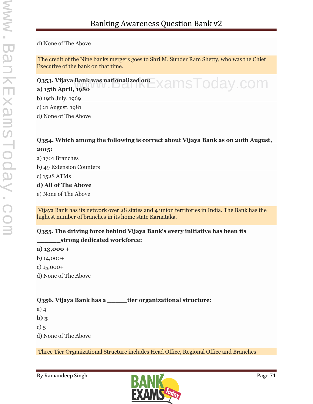d) None of The Above

The credit of the Nine banks mergers goes to Shri M. Sunder Ram Shetty, who was the Chief Executive of the bank on that time.

# **Q353. Vijaya Bank was nationalized on: Q353. Vijaya Bank was nationalized on:**<br>a) 15th April, 1980

b) 19th July, 1969

c) 21 August, 1981

d) None of The Above

#### **Q354. Which among the following is correct about Vijaya Bank as on 20th August, 2015:**

a) 1701 Branches b) 49 Extension Counters c) 1528 ATMs

#### **d) All of The Above**

e) None of The Above

Vijaya Bank has its network over 28 states and 4 union territories in India. The Bank has the highest number of branches in its home state Karnataka.

#### **Q355. The driving force behind Vijaya Bank's every initiative has been its \_\_\_\_\_\_strong dedicated workforce:**

#### **a) 13,000 +**

b) 14,000+

c) 15,000+

d) None of The Above

# **Q356. Vijaya Bank has a \_\_\_\_\_tier organizational structure:**

a) 4

**b) 3**

c) 5

d) None of The Above

Three Tier Organizational Structure includes Head Office, Regional Office and Branches

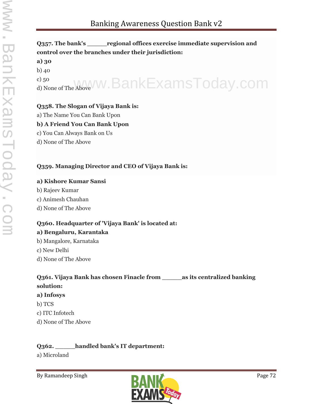# **Q357. The bank's \_\_\_\_\_regional offices exercise immediate supervision and control over the branches under their jurisdiction: a) 30** b) 40 c) 50 <sup>c) 50</sup> Mone of The Above W. BankExamsToday.com

# **Q358. The Slogan of Vijaya Bank is:**

a) The Name You Can Bank Upon

#### **b) A Friend You Can Bank Upon**

- c) You Can Always Bank on Us
- d) None of The Above

### **Q359. Managing Director and CEO of Vijaya Bank is:**

#### **a) Kishore Kumar Sansi**

- b) Rajeev Kumar
- c) Animesh Chauhan
- d) None of The Above

# **Q360. Headquarter of 'Vijaya Bank' is located at:**

#### **a) Bengaluru, Karantaka**

- b) Mangalore, Karnataka
- c) New Delhi
- d) None of The Above

# **Q361. Vijaya Bank has chosen Finacle from \_\_\_\_\_as its centralized banking solution:**

#### **a) Infosys**

- b) TCS
- c) ITC Infotech
- d) None of The Above

# **Q362. \_\_\_\_\_handled bank's IT department:**

a) Microland

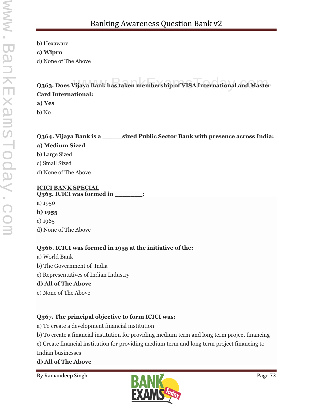b) Hexaware

#### **c) Wipro**

d) None of The Above

## **Q363. Does Vijaya Bank has taken membership of VISA International and Master Card International:**

#### **a) Yes**

b) No

#### **Q364. Vijaya Bank is a \_\_\_\_\_sized Public Sector Bank with presence across India: a) Medium Sized** b) Large Sized c) Small Sized

d) None of The Above

**ICICI BANK SPECIAL**<br> **O265 LCICI was formed in** Q<sub>3</sub>6<sub>5</sub>. ICICI was formed in

- a) 1950
- **b) 1955**
- c) 1965
- d) None of The Above

#### **Q366. ICICI was formed in 1955 at the initiative of the:**

- a) World Bank
- b) The Government of India
- c) Representatives of Indian Industry

#### **d) All of The Above**

e) None of The Above

#### **Q367. The principal objective to form ICICI was:**

- a) To create a development financial institution
- b) To create a financial institution for providing medium term and long term project financing

c) Create financial institution for providing medium term and long term project financing to Indian businesses

#### **d) All of The Above**

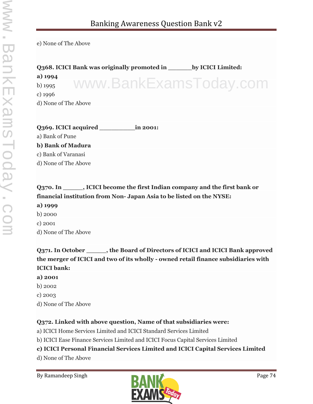e) None of The Above

**Q368. ICICI Bank was originally promoted in \_\_\_\_\_\_by ICICI Limited: a) 1994** b) 1995 c) 1996 d) None of The Above www.BankExamsToday.com

**Q369. ICICI acquired \_\_\_\_\_\_\_\_\_in 2001:**

a) Bank of Pune

**b) Bank of Madura** c) Bank of Varanasi

d) None of The Above

**Q370. In \_\_\_\_\_, ICICI become the first Indian company and the first bank or financial institution from Non- Japan Asia to be listed on the NYSE:**

**a) 1999**

b) 2000

c) 2001

d) None of The Above

**Q371. In October \_\_\_\_\_, the Board of Directors of ICICI and ICICI Bank approved the merger of ICICI and two of its wholly - owned retail finance subsidiaries with ICICI bank:**

**a) 2001**

b) 2002

- c) 2003
- d) None of The Above

#### **Q372. Linked with above question, Name of that subsidiaries were:**

a) ICICI Home Services Limited and ICICI Standard Services Limited

b) ICICI Ease Finance Services Limited and ICICI Focus Capital Services Limited

#### **c) ICICI Personal Financial Services Limited and ICICI Capital Services Limited**

d) None of The Above

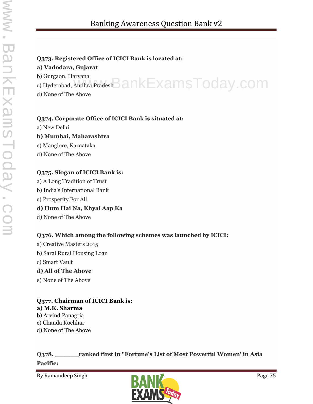#### **Q373. Registered Office of ICICI Bank is located at:**

#### **a) Vadodara, Gujarat**

b) Gurgaon, Haryana

o) Gurgaon, Haryana<br>c) Hyderabad, Andhra Pradesh $\mathsf{BankExamsToday}$  .  $\mathsf{com}$ 

d) None of The Above

#### **Q374. Corporate Office of ICICI Bank is situated at:**

a) New Delhi

#### **b) Mumbai, Maharashtra**

c) Manglore, Karnataka

d) None of The Above

#### **Q375. Slogan of ICICI Bank is:**

a) A Long Tradition of Trust b) India's International Bank c) Prosperity For All **d) Hum Hai Na, Khyal Aap Ka** d) None of The Above

#### **Q376. Which among the following schemes was launched by ICICI:**

a) Creative Masters 2015 b) Saral Rural Housing Loan c) Smart Vault **d) All of The Above** e) None of The Above

#### **Q377. Chairman of ICICI Bank is:**

**a) M.K. Sharma** b) Arvind Panagria c) Chanda Kochhar

d) None of The Above

**Q378. \_\_\_\_\_\_ranked first in "Fortune's List of Most Powerful Women' in Asia Pacific:**

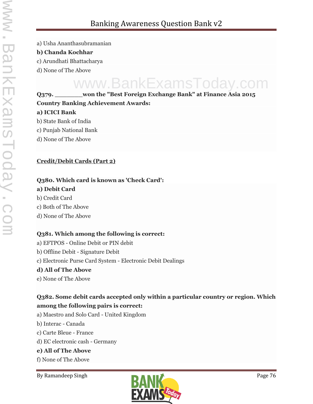a) Usha Ananthasubramanian

#### **b) Chanda Kochhar**

- c) Arundhati Bhattacharya
- d) None of The Above

## **Q379. \_\_\_\_\_\_\_won the "Best Foreign Exchange Bank" at Finance Asia 2015** www.BankExamsToday.com

## **Country Banking Achievement Awards: a) ICICI Bank**

- b) State Bank of India
- c) Punjab National Bank
- d) None of The Above

#### **Credit/Debit Cards (Part 2)**

#### **Q380. Which card is known as 'Check Card':**

#### **a) Debit Card**

- b) Credit Card
- c) Both of The Above
- d) None of The Above

#### **Q381. Which among the following is correct:**

- a) EFTPOS Online Debit or PIN debit
- b) Offline Debit Signature Debit
- c) Electronic Purse Card System Electronic Debit Dealings

#### **d) All of The Above**

e) None of The Above

#### **Q382. Some debit cards accepted only within a particular country or region. Which among the following pairs is correct:**

- a) Maestro and Solo Card United Kingdom
- b) Interac -Canada
- c) Carte Bleue France
- d) EC electronic cash Germany

#### **e) All of The Above**

f) None of The Above

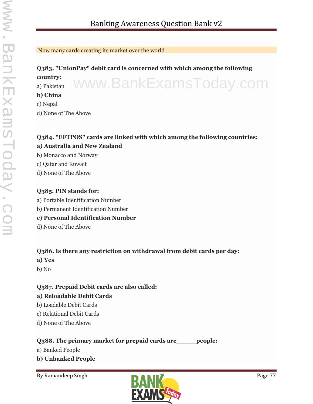#### Now many cards creating its market over the world

#### **Q383. "UnionPay" debit card is concerned with which among the following country:** a) Pakistan www.BankExamsToday.com

#### **b) China**

- c) Nepal
- d) None of The Above

### **Q384. "EFTPOS" cards are linked with which among the following countries: a) Australia and New Zealand**

- b) Monacco and Norway
- c) Qatar and Kuwait
- d) None of The Above

#### **Q385. PIN stands for:**

- a) Portable Identification Number
- b) Permanent Identification Number

#### **c) Personal Identification Number**

d) None of The Above

#### **Q386. Is there any restriction on withdrawal from debit cards per day:**

- **a) Yes**
- b) No

#### **Q387. Prepaid Debit cards are also called:**

#### **a) Reloadable Debit Cards**

- b) Loadable Debit Cards
- c) Relational Debit Cards
- d) None of The Above

#### **Q388. The primary market for prepaid cards are\_\_\_\_\_people:**

a) Banked People

**b) Unbanked People**

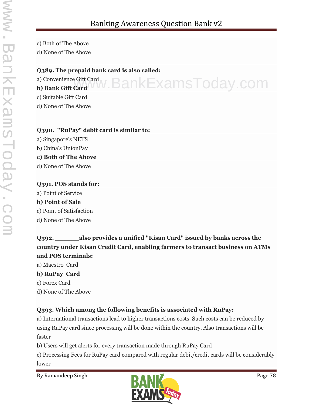c) Both of The Above d) None of The Above

#### **Q389. The prepaid bank card is also called:**

a) Convenience Gift Card **b) Bank Gift Card** www.BankExamsToday.com

c) Suitable Gift Card

d) None of The Above

#### **Q390. "RuPay" debit card is similar to:**

a) Singapore's NETS b) China's UnionPay **c) Both of The Above** d) None of The Above

#### **Q391. POS stands for:**

a) Point of Service **b) Point of Sale** c) Point of Satisfaction d) None of The Above

**Q392. \_\_\_\_\_\_also provides a unified "Kisan Card" issued by banks across the country under Kisan Credit Card, enabling farmers to transact business on ATMs and POS terminals:**

a) Maestro Card

#### **b) RuPay Card**

- c) Forex Card
- d) None of The Above

#### **Q393. Which among the following benefits is associated with RuPay:**

a) International transactions lead to higher transactions costs. Such costs can be reduced by using RuPay card since processing will be done within the country. Also transactions will be faster

b) Users will get alerts for every transaction made through RuPay Card

c) Processing Fees for RuPay card compared with regular debit/credit cards will be considerably lower

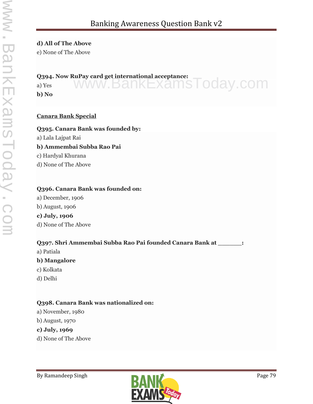#### **d) All of The Above**

e) None of The Above

#### **Q394. Now RuPay card get international acceptance:**

a) Yes **b) No** www.BankExamsToday.com

#### **Canara Bank Special**

**Q395. Canara Bank was founded by:** a) Lala Lajpat Rai **b) Ammembai Subba Rao Pai** c) Hardyal Khurana d) None of The Above

#### **Q396. Canara Bank was founded on:**

a) December, 1906 b) August, 1906 **c) July, 1906** d) None of The Above

#### **Q397. Shri Ammembai Subba Rao Pai founded Canara Bank at \_\_\_\_\_\_:**

a) Patiala

#### **b) Mangalore**

- c) Kolkata
- d) Delhi

#### **Q398. Canara Bank was nationalized on:**

- a) November, 1980
- b) August, 1970

#### **c) July, 1969**

d) None of The Above

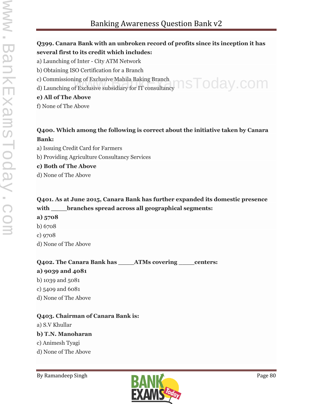#### **Q399. Canara Bank with an unbroken record of profits since its inception it has several first to its credit which includes:**

- a) Launching of Inter City ATM Network
- b) Obtaining ISO Certification for a Branch
- c) Commissioning of Exclusive Mahila Baking Branch
- c) Commissioning of Exclusive Mahila Baking Branch<br>d) Launching of Exclusive subsidiary for IT consultancy  $\mathsf{asTop}(\mathsf{B})$  . COM

#### **e) All of The Above**

f) None of The Above

#### **Q400. Which among the following is correct about the initiative taken by Canara Bank:**

- a) Issuing Credit Card for Farmers
- b) Providing Agriculture Consultancy Services

#### **c) Both of The Above**

d) None of The Above

### **Q401. As at June 2015, Canara Bank has further expanded its domestic presence with \_\_\_\_branches spread across all geographical segments:**

- **a) 5708**
- b) 6708
- c) 9708
- d) None of The Above

#### **Q402. The Canara Bank has \_\_\_\_ATMs covering \_\_\_\_centers:**

#### **a) 9039 and 4081**

- b) 1039 and 5081
- c) 5409 and 6081
- d) None of The Above

#### **Q403. Chairman of Canara Bank is:**

a) S.V Khullar

#### **b) T.N. Manoharan**

- c) Animesh Tyagi
- d) None of The Above

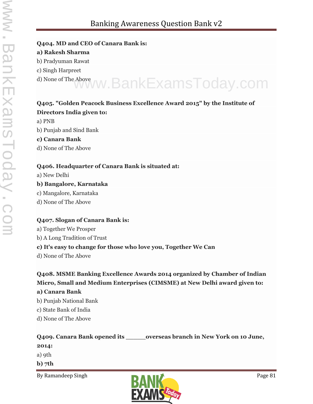#### **Q404. MD and CEO of Canara Bank is:**

#### **a) Rakesh Sharma**

- b) Pradyuman Rawat
- c) Singh Harpreet
- d) None of The Above www.BankExamsToday.com

## **Q405. "Golden Peacock Business Excellence Award 2015" by the Institute of**

#### **Directors India given to:**

- a) PNB
- b) Punjab and Sind Bank
- **c) Canara Bank**
- d) None of The Above

#### **Q406. Headquarter of Canara Bank is situated at:**

- a) New Delhi
- **b) Bangalore, Karnataka**
- c) Mangalore, Karnataka
- d) None of The Above

#### **Q407. Slogan of Canara Bank is:**

a) Together We Prosper

b) A Long Tradition of Trust

#### **c) It's easy to change for those who love you, Together We Can**

d) None of The Above

### **Q408. MSME Banking Excellence Awards 2014 organized by Chamber of Indian Micro, Small and Medium Enterprises (CIMSME) at New Delhi award given to:**

#### **a) Canara Bank**

- b) Punjab National Bank
- c) State Bank of India
- d) None of The Above

**Q409. Canara Bank opened its \_\_\_\_\_overseas branch in New York on 10 June, 2014:** a) 9th **b) 7th**

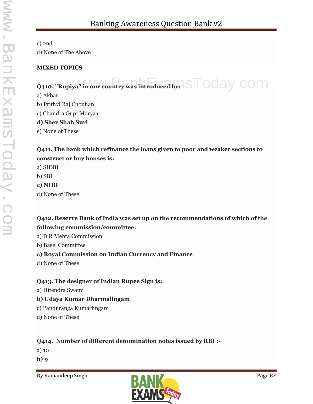c) 2nd d) None of The Above

#### **MIXED TOPICS**

## Q410. "Rupiya" in our country was introduced by:  $\mathsf{STOd}$ ay .  $\mathsf{COM}$

a) Akbar b) Prithvi Raj Chouhan c) Chandra Gupt Moryaa **d) Sher Shah Suri** e) None of These

#### **Q411. The bank which refinance the loans given to poor and weaker sections to construct or buy houses is:**

a) SIDBI

b) SBI

**c) NHB**

d) None of These

#### **Q412. Reserve Bank of India was set up on the recommendations of which of the following commission/committee:**

a) D R Mehta Commission

b) Basel Committee

#### **c) Royal Commission on Indian Currency and Finance**

d) None of These

#### **Q413. The designer of Indian Rupee Sign is:**

a) Hitendra Swami

#### **b) Udaya Kumar Dharmalingam**

- c) Panduranga Kumarlingam
- d) None of These

#### **Q414. Number of different denomination notes issued by RBI :-**

a) 10

**b) 9**

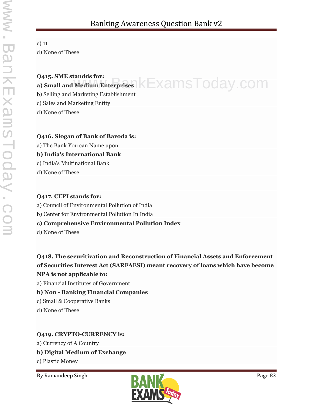#### c) 11 d) None of These

### **Q415. SME standds for: Q415. SME Standas for:**<br>a) Small and Medium Enterprises KEXAMSTOday.COM

b) Selling and Marketing Establishment

c) Sales and Marketing Entity

d) None of These

#### **Q416. Slogan of Bank of Baroda is:**

a) The Bank You can Name upon

**b) India's International Bank**

c) India's Multinational Bank

d) None of These

#### **Q417. CEPI stands for:**

a) Council of Environmental Pollution of India

b) Center for Environmental Pollution In India

#### **c) Comprehensive Environmental Pollution Index**

d) None of These

**Q418. The securitization and Reconstruction of Financial Assets and Enforcement of Securities Interest Act (SARFAESI) meant recovery of loans which have become NPA is not applicable to:**

a) Financial Institutes of Government

#### **b) Non - Banking Financial Companies**

c) Small & Cooperative Banks

d) None of These

#### **Q419. CRYPTO-CURRENCY is:**

a) Currency of A Country

#### **b) Digital Medium of Exchange**

c) Plastic Money

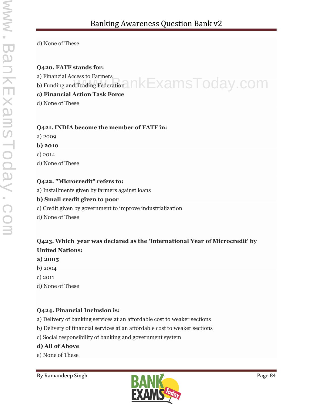d) None of These

#### **Q420. FATF stands for:**

a) Financial Access to Farmers

a) Financial Access to Farmers<br>b) Funding and Trading Federation  $n$  K  ${\sf ExamsToday}$  . COM

#### **c) Financial Action Task Force**

d) None of These

#### **Q421. INDIA become the member of FATF in:**

- a) 2009
- **b) 2010**
- c) 2014

d) None of These

#### **Q422. "Microcredit" refers to:**

a) Installments given by farmers against loans

#### **b) Small credit given to poor**

- c) Credit given by government to improve industrialization
- d) None of These

#### **Q423. Which year was declared as the 'International Year of Microcredit' by United Nations:**

- **a) 2005**
- b) 2004
- c) 2011
- d) None of These

#### **Q424. Financial Inclusion is:**

a) Delivery of banking services at an affordable cost to weaker sections

b) Delivery of financial services at an affordable cost to weaker sections

c) Social responsibility of banking and government system

#### **d) All of Above**

e) None of These

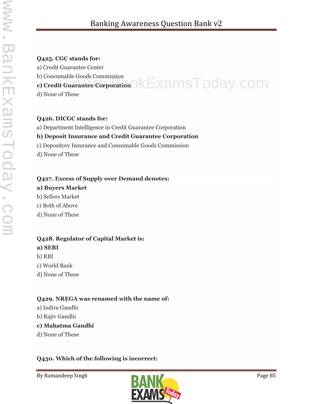#### **Q425. CGC stands for:**

a) Credit Guarantee Center

b) Consumable Goods Commission

## **c) Consumable Goods Commission**<br>c) Credit Guarantee Corporation NEXamsToday.com

d) None of These

#### **Q426. DICGC stands for:**

a) Department Intelligence in Credit Guarantee Corporation

#### **b) Deposit Insurance and Credit Guarantee Corporation**

c) Depository Insurance and Consumable Goods Commission

d) None of These

#### **Q427. Excess of Supply over Demand denotes:**

#### **a) Buyers Market**

b) Sellers Market

c) Both of Above

d) None of These

#### **Q428. Regulator of Capital Market is: a) SEBI**

b) RBI

c) World Bank

d) None of These

#### **Q429. NREGA was renamed with the name of:**

- a) Indira Gandhi
- b) Rajiv Gandhi

#### **c) Mahatma Gandhi**

d) None of These

#### **Q430. Which of the following is incorrect:**

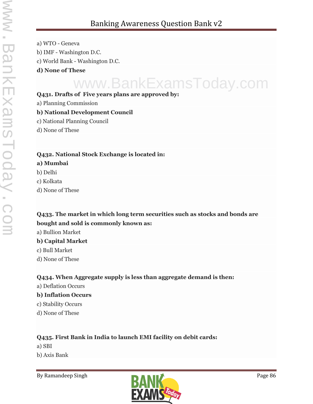a) WTO - Geneva b) IMF - Washington D.C. c) World Bank - Washington D.C. **d) None of These**

## www.BankExamsToday.com

#### **Q431. Drafts of Five years plans are approved by:**

a) Planning Commission

#### **b) National Development Council**

- c) National Planning Council
- d) None of These

#### **Q432. National Stock Exchange is located in:**

#### **a) Mumbai**

- b) Delhi
- c) Kolkata
- d) None of These

#### **Q433. The market in which long term securities such as stocks and bonds are bought and sold is commonly known as:**

a) Bullion Market

#### **b) Capital Market**

- c) Bull Market
- d) None of These

#### **Q434. When Aggregate supply is less than aggregate demand is then:**

a) Deflation Occurs

#### **b) Inflation Occurs**

- c) Stability Occurs
- d) None of These

#### **Q435. First Bank in India to launch EMI facility on debit cards:**

- a) SBI
- b) Axis Bank

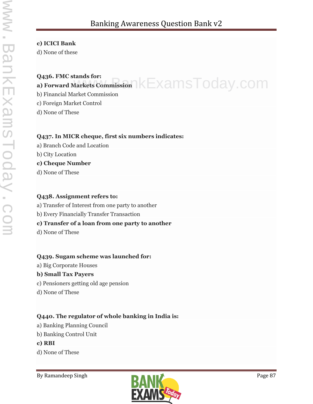#### **c) ICICI Bank**

d) None of these

### **Q436. FMC stands for: a) Forward Markets Commission REXAMSTOday.COM**

b) Financial Market Commission

c) Foreign Market Control

d) None of These

#### **Q437. In MICR cheque, first six numbers indicates:**

- a) Branch Code and Location
- b) City Location

#### **c) Cheque Number**

d) None of These

#### **Q438. Assignment refers to:**

- a) Transfer of Interest from one party to another
- b) Every Financially Transfer Transaction

#### **c) Transfer of a loan from one party to another**

d) None of These

#### **Q439. Sugam scheme was launched for:**

a) Big Corporate Houses

#### **b) Small Tax Payers**

- c) Pensioners getting old age pension
- d) None of These

#### **Q440. The regulator of whole banking in India is:**

- a) Banking Planning Council
- b) Banking Control Unit
- **c) RBI**
- d) None of These

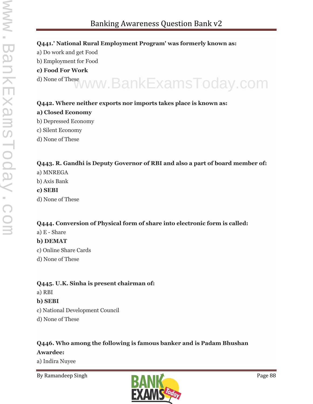#### **Q441.' National Rural Employment Program' was formerly known as:**

- a) Do work and get Food
- b) Employment for Food
- **c) Food For Work**
- d) None of These www.BankExamsToday.com

#### **Q442. Where neither exports nor imports takes place is known as:**

#### **a) Closed Economy**

- b) Depressed Economy
- c) Silent Economy
- d) None of These

#### **Q443. R. Gandhi is Deputy Governor of RBI and also a part of board member of:**

- a) MNREGA
- b) Axis Bank

#### **c) SEBI**

d) None of These

#### **Q444. Conversion of Physical form of share into electronic form is called:**

a) E - Share

#### **b) DEMAT**

- c) Online Share Cards
- d) None of These

#### **Q445. U.K. Sinha is present chairman of:**

a) RBI

#### **b) SEBI**

- c) National Development Council
- d) None of These

### **Q446. Who among the following is famous banker and is Padam Bhushan**

#### **Awardee:**

a) Indira Nuyee

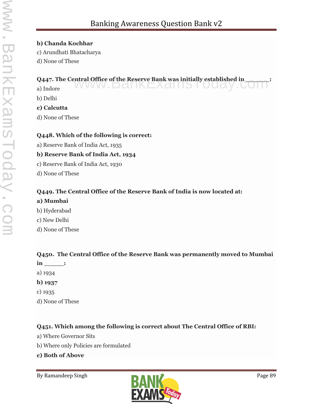#### **b) Chanda Kochhar**

- c) Arundhati Bhatacharya
- d) None of These

## **Q447. The Central Office of the Reserve Bank was initially established in \_\_\_\_\_\_:**<br>a) Indore

a) Indore WWW.DdIINEX dIIIS I UU d $y$ .

b) Delhi

**c) Calcutta**

d) None of These

#### **Q448. Which of the following is correct:**

a) Reserve Bank of India Act, 1935

#### **b) Reserve Bank of India Act, 1934**

- c) Reserve Bank of India Act, 1930
- d) None of These

#### **Q449. The Central Office of the Reserve Bank of India is now located at:**

#### **a) Mumbai**

- b) Hyderabad
- c) New Delhi
- d) None of These

#### **Q450. The Central Office of the Reserve Bank was permanently moved to Mumbai**

- **in \_\_\_\_\_:**
- a) 1934
- **b) 1937**
- c) 1935
- d) None of These

#### **Q451. Which among the following is correct about The Central Office of RBI:**

- a) Where Governor Sits
- b) Where only Policies are formulated
- **c) Both of Above**

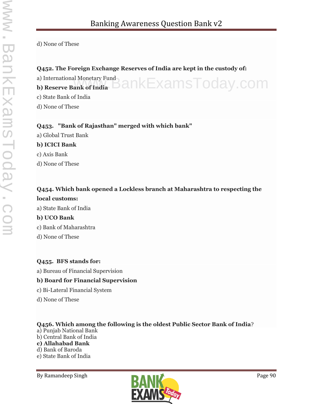d) None of These

#### **Q452. The Foreign Exchange Reserves of India are kept in the custody of:**

a) International Monetary Fund a) International Monetary Fund<br>**b) Reserve Bank of India COM** c) State Bank of India

d) None of These

#### **Q453. "Bank of Rajasthan" merged with which bank"**

a) Global Trust Bank

#### **b) ICICI Bank**

c) Axis Bank

d) None of These

### **Q454. Which bank opened a Lockless branch at Maharashtra to respecting the local customs:**

a) State Bank of India

#### **b) UCO Bank**

c) Bank of Maharashtra

d) None of These

#### **Q455. BFS stands for:**

a) Bureau of Financial Supervision

#### **b) Board for Financial Supervision**

- c) Bi-Lateral Financial System
- d) None of These

#### **Q456. Which among the following is the oldest Public Sector Bank of India**?

a) Punjab National Bank b) Central Bank of India **c) Allahabad Bank** d) Bank of Baroda e) State Bank of India

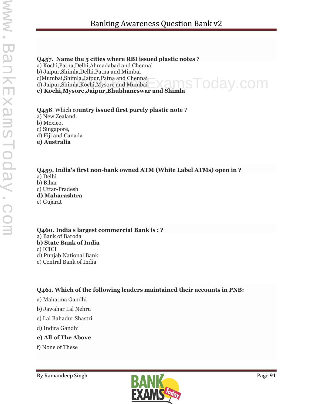#### **Q457. Name the 5 cities where RBI issued plastic notes** ?

a) Kochi,Patna,Delhi,Ahmadabad and Chennai

b) Jaipur,Shimla,Delhi,Patna and Mimbai

c)Mumbai,Shimla,Jaipur,Patna and Chennai

d) Jaipur,Shimla,Kochi,Mysore and Mumbai

**e) Kochi,Mysore,Jaipur,Bhubhaneswar and Shimla**

#### **Q458**. Which co**untry issued first purely plastic note** ?

a) New Zealand.

b) Mexico,

c) Singapore,

d) Fiji and Canada

**e) Australia**

**Q459. India's first non-bank owned ATM (White Label ATMs) open in ?** a) Delhi b) Bihar c) Uttar-Pradesh **d) Maharashtra** e) Gujarat

**Q460. India s largest commercial Bank is : ?** a) Bank of Baroda **b) State Bank of India** c) ICICI d) Punjab National Bank e) Central Bank of India

**Q461. Which of the following leaders maintained their accounts in PNB:**

a) Mahatma Gandhi

b) Jawahar Lal Nehru

c) Lal Bahadur Shastri

d) Indira Gandhi

**e) All of The Above**

f) None of These



oday.com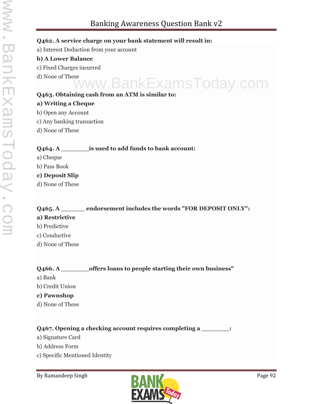#### **Q462. A service charge on your bank statement will result in:**

a) Interest Deduction from your account

#### **b) A Lower Balance**

- c) Fixed Charges incurred
- d) None of These

## **Q463. Obtaining cash from an ATM is similar to:** www.BankExamsToday.com

#### **a) Writing a Cheque**

- b) Open any Account
- c) Any banking transaction
- d) None of These

#### **Q464. A \_\_\_\_\_\_\_is used to add funds to bank account:**

- a) Cheque
- b) Pass Book
- **c) Deposit Slip**
- d) None of These

#### **Q465. A \_\_\_\_\_\_ endorsement includes the words "FOR DEPOSIT ONLY":**

- **a) Restrictive**
- b) Predictive
- c) Conductive
- d) None of These

#### **Q466. A \_\_\_\_\_\_\_offers loans to people starting their own business"**

- a) Bank
- b) Credit Union

#### **c) Pawnshop**

d) None of These

#### **Q467. Opening a checking account requires completing a \_\_\_\_\_\_\_:**

- a) Signature Card
- b) Address Form
- c) Specific Mentioned Identity

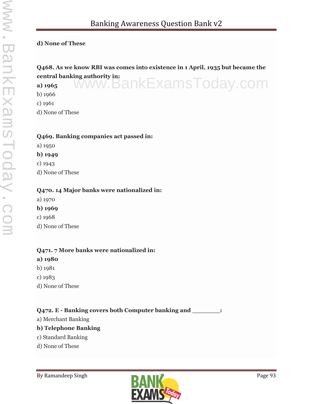#### **d) None of These**

### **Q468. As we know RBI was comes into existence in 1 April, 1935 but became the central banking authority in:** www.BankExamsToday.com

**a) 1965**

b) 1966

c) 1961

d) None of These

#### **Q469. Banking companies act passed in:**

a) 1950 **b) 1949** c) 1943

d) None of These

#### **Q470. 14 Major banks were nationalized in:**

- a) 1970
- **b) 1969**
- c) 1968
- d) None of These

#### **Q471. 7 More banks were nationalized in:**

- **a) 1980**
- b) 1981
- c) 1983
- d) None of These

#### **Q472. E - Banking covers both Computer banking and \_\_\_\_\_\_\_:**

a) Merchant Banking

#### **b) Telephone Banking**

- c) Standard Banking
- d) None of These

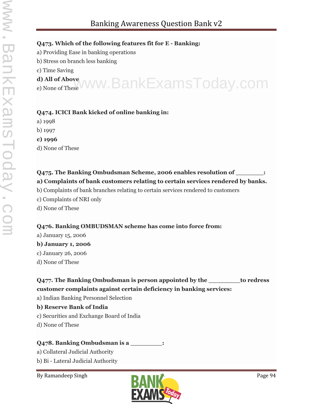#### **Q473. Which of the following features fit for E - Banking:**

- a) Providing Ease in banking operations
- b) Stress on branch less banking
- c) Time Saving
- **d) All of Above** d) All of Above<br>e) None of These VWW. BankExamsToday.com
- 

#### **Q474. ICICI Bank kicked of online banking in:**

- a) 1998
- b) 1997
- **c) 1996**
- d) None of These

#### **Q475. The Banking Ombudsman Scheme, 2006 enables resolution of \_\_\_\_\_\_\_: a) Complaints of bank customers relating to certain services rendered by banks.**

- b) Complaints of bank branches relating to certain services rendered to customers
- c) Complaints of NRI only
- d) None of These

#### **Q476. Banking OMBUDSMAN scheme has come into force from:**

- a) January 15, 2006
- **b) January 1, 2006**
- c) January 26, 2006
- d) None of These

#### **Q477. The Banking Ombudsman is person appointed by the \_\_\_\_\_\_\_\_to redress customer complaints against certain deficiency in banking services:**

- a) Indian Banking Personnel Selection
- **b) Reserve Bank of India**
- c) Securities and Exchange Board of India
- d) None of These

#### **Q478. Banking Ombudsman is a \_\_\_\_\_\_\_\_:**

- a) Collateral Judicial Authority
- b) Bi Lateral Judicial Authority

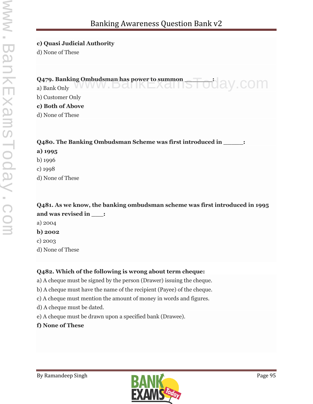#### **c) Quasi Judicial Authority**

d) None of These

#### **Q479. Banking Ombudsman has power to summon \_\_\_\_\_\_\_:** Q479. Banking Ombudsman has power to summon<br>a) Bank Only WWW.DOMINLAOMISTOORY.COM

b) Customer Only

#### **c) Both of Above**

d) None of These

**Q480. The Banking Ombudsman Scheme was first introduced in \_\_\_\_\_:**

#### **a) 1995**

- b) 1996
- c) 1998
- d) None of These

**Q481. As we know, the banking ombudsman scheme was first introduced in 1995 and was revised in \_\_\_:**

- a) 2004 **b) 2002**
- c) 2003
- d) None of These

#### **Q482. Which of the following is wrong about term cheque:**

- a) A cheque must be signed by the person (Drawer) issuing the cheque.
- b) A cheque must have the name of the recipient (Payee) of the cheque.
- c) A cheque must mention the amount of money in words and figures.
- d) A cheque must be dated.
- e) A cheque must be drawn upon a specified bank (Drawee).
- **f) None of These**

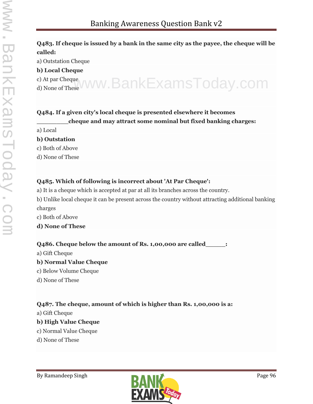#### **Q483. If cheque is issued by a bank in the same city as the payee, the cheque will be called:**

a) Outstation Cheque

- **b) Local Cheque**
- c) At par Cheque
- 

# c) <sup>At par Cheque</sup> WWW.BankExamsToday.com

#### **Q484. If a given city's local cheque is presented elsewhere it becomes**

#### **\_\_\_\_\_\_\_\_cheque and may attract some nominal but fixed banking charges:**

a) Local

#### **b) Outstation**

c) Both of Above

d) None of These

#### **Q485. Which of following is incorrect about 'At Par Cheque':**

- a) It is a cheque which is accepted at par at all its branches across the country.
- b) Unlike local cheque it can be present across the country without attracting additional banking charges
- c) Both of Above
- **d) None of These**

#### **Q486. Cheque below the amount of Rs. 1,00,000 are called\_\_\_\_\_:**

- a) Gift Cheque
- **b) Normal Value Cheque**
- c) Below Volume Cheque
- d) None of These

#### **Q487. The cheque, amount of which is higher than Rs. 1,00,000 is a:**

a) Gift Cheque

#### **b) High Value Cheque**

- c) Normal Value Cheque
- d) None of These

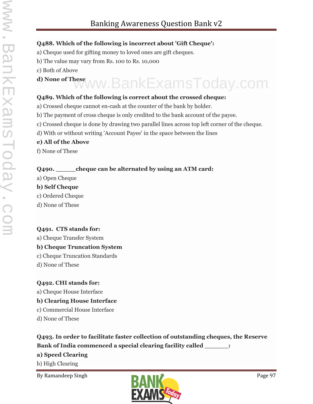#### **Q488. Which of the following is incorrect about 'Gift Cheque':**

- a) Cheque used for gifting money to loved ones are gift cheques.
- b) The value may vary from Rs. 100 to Rs. 10,000
- c) Both of Above
- 

## **d) None of These** www.BankExamsToday.com

#### **Q489. Which of the following is correct about the crossed cheque:**

- a) Crossed cheque cannot en-cash at the counter of the bank by holder.
- b) The payment of cross cheque is only credited to the bank account of the payee.
- c) Crossed cheque is done by drawing two parallel lines across top left corner of the cheque.
- d) With or without writing 'Account Payee' in the space between the lines

#### **e) All of the Above**

f) None of These

#### **Q490. \_\_\_\_\_cheque can be alternated by using an ATM card:**

a) Open Cheque

#### **b) Self Cheque**

- c) Ordered Cheque
- d) None of These

#### **Q491. CTS stands for:**

a) Cheque Transfer System

#### **b) Cheque Truncation System**

- c) Cheque Truncation Standards
- d) None of These

#### **Q492. CHI stands for:**

a) Cheque House Interface

#### **b) Clearing House Interface**

- c) Commercial House Interface
- d) None of These

## **Q493. In order to facilitate faster collection of outstanding cheques, the Reserve**

#### **Bank of India commenced a special clearing facility called \_\_\_\_\_\_:**

#### **a) Speed Clearing**

b) High Clearing

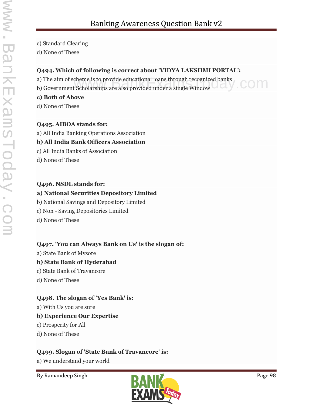c) Standard Clearing

d) None of These

#### **Q494. Which of following is correct about 'VIDYA LAKSHMI PORTAL':**

a) The aim of scheme is to provide educational loans through recognized banks

a) The aim of scheme is to provide educational loans through recognized banks<br>b) Government Scholarships are also provided under a single Window

#### **c) Both of Above**

d) None of These

#### **Q495. AIBOA stands for:**

a) All India Banking Operations Association

#### **b) All India Bank Officers Association**

c) All India Banks of Association

d) None of These

#### **Q496. NSDL stands for:**

#### **a) National Securities Depository Limited**

b) National Savings and Depository Limited

c) Non - Saving Depositories Limited

d) None of These

#### **Q497. 'You can Always Bank on Us' is the slogan of:**

a) State Bank of Mysore

#### **b) State Bank of Hyderabad**

- c) State Bank of Travancore
- d) None of These

#### **Q498. The slogan of 'Yes Bank' is:**

a) With Us you are sure

#### **b) Experience Our Expertise**

- c) Prosperity for All
- d) None of These

#### **Q499. Slogan of 'State Bank of Travancore' is:**

a) We understand your world

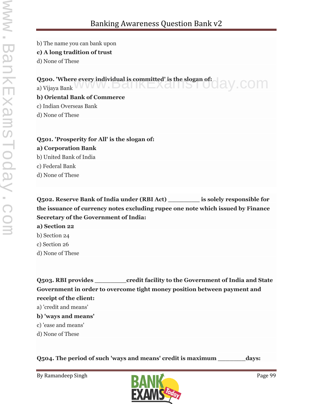b) The name you can bank upon

#### **c) A long tradition of trust**

d) None of These

**Q500. 'Where every individual is committed' is the slogan of:** Q500. 'Where every individual is committed' is the slogan of: a) Vijaya Bank<br>a) Vijaya Bank **b) Oriental Bank of Commerce** c) Indian Overseas Bank

d) None of These

### **Q501. 'Prosperity for All' is the slogan of: a) Corporation Bank** b) United Bank of India c) Federal Bank

d) None of These

**Q502. Reserve Bank of India under (RBI Act) \_\_\_\_\_\_\_\_ is solely responsible for the issuance of currency notes excluding rupee one note which issued by Finance Secretary of the Government of India:**

- **a) Section 22**
- b) Section 24
- c) Section 26
- d) None of These

**Q503. RBI provides \_\_\_\_\_\_\_\_credit facility to the Government of India and State Government in order to overcome tight money position between payment and receipt of the client:**

a) 'credit and means'

#### **b) 'ways and means'**

- c) 'ease and means'
- d) None of These

**Q504. The period of such 'ways and means' credit is maximum \_\_\_\_\_\_\_days:**

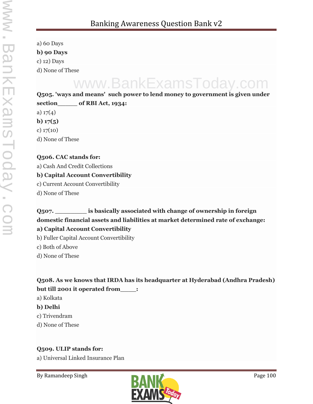a) 60 Days **b) 90 Days** c) 12) Days d) None of These

## www.BankExamsToday.com

**Q505. 'ways and means' such power to lend money to government is given under section\_\_\_\_\_ of RBI Act, 1934:**

a)  $17(4)$ 

**b) 17(5)**

c) 17(10)

d) None of These

#### **Q506. CAC stands for:**

a) Cash And Credit Collections

#### **b) Capital Account Convertibility**

c) Current Account Convertibility

d) None of These

#### **Q507. \_\_\_\_\_\_\_\_ is basically associated with change of ownership in foreign domestic financial assets and liabilities at market determined rate of exchange: a) Capital Account Convertibility**

b) Fuller Capital Account Convertibility

c) Both of Above

d) None of These

**Q508. As we knows that IRDA has its headquarter at Hyderabad (Andhra Pradesh) but till 2001 it operated from\_\_\_\_:**

a) Kolkata

- **b) Delhi**
- c) Trivendram
- d) None of These

#### **Q509. ULIP stands for:**

a) Universal Linked Insurance Plan

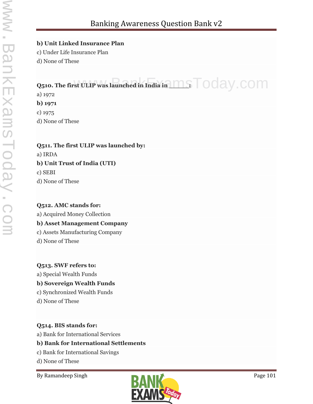#### **b) Unit Linked Insurance Plan**

c) Under Life Insurance Plan

d) None of These

## **Q510. The first ULIP was launched in India in**  $\text{ms}\top$  **OOay.com**

a) 1972 **b) 1971**

c) 1975

d) None of These

**Q511. The first ULIP was launched by:** a) IRDA **b) Unit Trust of India (UTI)** c) SEBI

d) None of These

**Q512. AMC stands for:** a) Acquired Money Collection **b) Asset Management Company** c) Assets Manufacturing Company d) None of These

**Q513. SWF refers to:** a) Special Wealth Funds **b) Sovereign Wealth Funds** c) Synchronized Wealth Funds d) None of These

**Q514. BIS stands for:**

a) Bank for International Services

#### **b) Bank for International Settlements**

c) Bank for International Savings

d) None of These

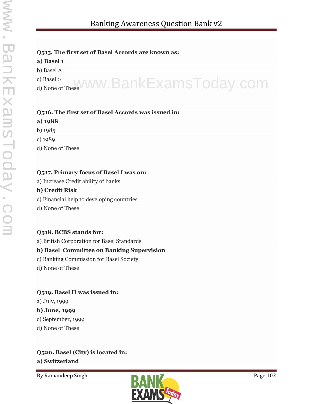#### **Q515. The first set of Basel Accords are known as:**

#### **a) Basel 1**

b) Basel A

c) Basel 0 c) <sub>Basel</sub>o<br><sub>d) None of These</sub>WWW.BankExamsToday.com

## **Q516. The first set of Basel Accords was issued in:**

#### **a) 1988**

b) 1985

c) 1989

d) None of These

#### **Q517. Primary focus of Basel I was on:**

a) Increase Credit ability of banks

#### **b) Credit Risk**

- c) Financial help to developing countries
- d) None of These

#### **Q518. BCBS stands for:**

a) British Corporation for Basel Standards

#### **b) Basel Committee on Banking Supervision**

- c) Banking Commission for Basel Society
- d) None of These

#### **Q519. Basel II was issued in:**

a) July, 1999

#### **b) June, 1999**

c) September, 1999

d) None of These

### **Q520. Basel (City) is located in: a) Switzerland**

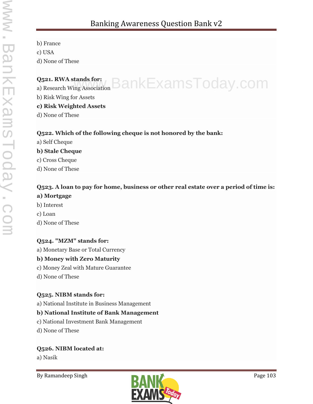b) France c) USA d) None of These

#### **Q521. RWA stands for:**  $_{\sf a}$ ) Research Wing Association  ${\sf BankExamples}$

b) Risk Wing for Assets

#### **c) Risk Weighted Assets**

d) None of These

#### **Q522. Which of the following cheque is not honored by the bank:**

a) Self Cheque

#### **b) Stale Cheque**

- c) Cross Cheque
- d) None of These

## **Q523. A loan to pay for home, business or other real estate over a period of time is:**

### **a) Mortgage**

- b) Interest
- c) Loan
- d) None of These

#### **Q524. "MZM" stands for:**

a) Monetary Base or Total Currency

#### **b) Money with Zero Maturity**

- c) Money Zeal with Mature Guarantee
- d) None of These

#### **Q525. NIBM stands for:**

a) National Institute in Business Management

#### **b) National Institute of Bank Management**

- c) National Investment Bank Management
- d) None of These

#### **Q526. NIBM located at:**

a) Nasik

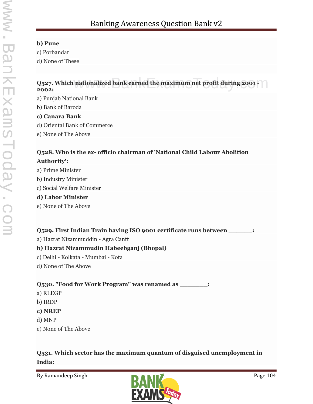#### **b) Pune**

c) Porbandar

d) None of These

#### **Q527. Which nationalized bank earned the maximum net profit during 2001 - 2002:** nationalized bank earned the maximum net profit during 2001 -  $\bigcap$

a) Punjab National Bank

b) Bank of Baroda

#### **c) Canara Bank**

- d) Oriental Bank of Commerce
- e) None of The Above

#### **Q528. Who is the ex- officio chairman of 'National Child Labour Abolition Authority':**

- a) Prime Minister
- b) Industry Minister
- c) Social Welfare Minister

#### **d) Labor Minister**

e) None of The Above

#### **Q529. First Indian Train having ISO 9001 certificate runs between \_\_\_\_\_\_:**

a) Hazrat Nizammuddin - Agra Cantt

#### **b) Hazrat Nizammudin Habeebganj (Bhopal)**

- c) Delhi Kolkata Mumbai Kota
- d) None of The Above

#### **Q530. "Food for Work Program" was renamed as \_\_\_\_\_\_\_:**

- a) RLEGP
- b) IRDP
- **c) NREP**
- d) MNP
- e) None of The Above

#### **Q531. Which sector has the maximum quantum of disguised unemployment in India:**

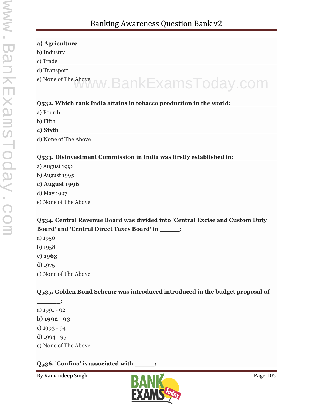#### **a) Agriculture**

- b) Industry
- c) Trade
- d) Transport
- 

## e) None of The Above www.BankExamsToday.com

#### **Q532. Which rank India attains in tobacco production in the world:**

- a) Fourth
- b) Fifth
- **c) Sixth**
- d) None of The Above

#### **Q533. Disinvestment Commission in India was firstly established in:**

- a) August 1992
- b) August 1995

#### **c) August 1996**

- d) May 1997
- e) None of The Above

#### **Q534. Central Revenue Board was divided into 'Central Excise and Custom Duty Board' and 'Central Direct Taxes Board' in \_\_\_\_\_:**

- a) 1950
- b) 1958
- **c) 1963**
- d) 1975
- e) None of The Above

#### **Q535. Golden Bond Scheme was introduced introduced in the budget proposal of**

**\_\_\_\_\_\_:** a) 1991 - 92 **b) 1992 - 93** c) 1993 - 94 d) 1994 - 95 e) None of The Above

#### **Q536. 'Confina' is associated with \_\_\_\_\_:**

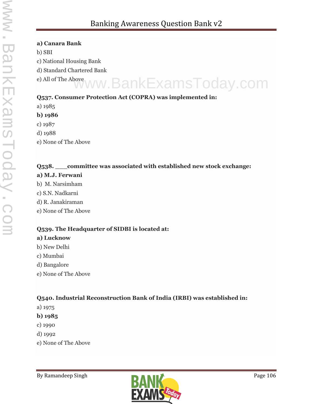#### **a) Canara Bank**

b) SBI

c) National Housing Bank

d) Standard Chartered Bank

e) All of The Above www.BankExamsToday.com

#### **Q537. Consumer Protection Act (COPRA) was implemented in:**

- a) 1985
- **b) 1986**
- c) 1987
- d) 1988
- e) None of The Above

#### **Q538. \_\_\_committee was associated with established new stock exchange:**

#### **a) M.J. Ferwani**

- b) M. Narsimham
- c) S.N. Nadkarni
- d) R. Janakiraman
- e) None of The Above

## **Q539. The Headquarter of SIDBI is located at:**

#### **a) Lucknow**

- b) New Delhi
- c) Mumbai
- d) Bangalore
- e) None of The Above

#### **Q540. Industrial Reconstruction Bank of India (IRBI) was established in:**

- a) 1975
- **b) 1985**
- c) 1990
- d) 1992
- e) None of The Above

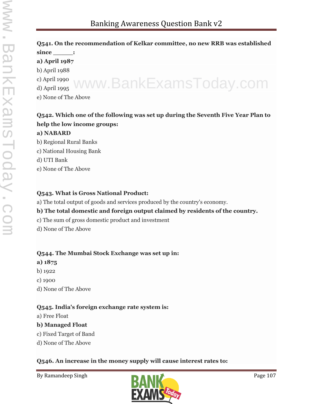#### **Q541. On the recommendation of Kelkar committee, no new RRB was established** since : **a) April 1987** b) April 1988 c) April 1990 www.BankExamsToday.com

d) April 1995

e) None of The Above

#### **Q542. Which one of the following was set up during the Seventh Five Year Plan to help the low income groups:**

#### **a) NABARD**

b) Regional Rural Banks

- c) National Housing Bank
- d) UTI Bank
- e) None of The Above

#### **Q543. What is Gross National Product:**

a) The total output of goods and services produced by the country's economy.

#### **b) The total domestic and foreign output claimed by residents of the country.**

- c) The sum of gross domestic product and investment
- d) None of The Above

#### **Q544. The Mumbai Stock Exchange was set up in:**

- **a) 1875**
- b) 1922
- c) 1900
- d) None of The Above

#### **Q545. India's foreign exchange rate system is:**

a) Free Float

#### **b) Managed Float**

- c) Fixed Target of Band
- d) None of The Above

#### **Q546. An increase in the money supply will cause interest rates to:**

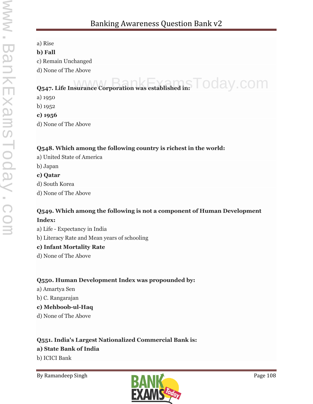a) Rise

#### **b) Fall**

c) Remain Unchanged

d) None of The Above

## **Q547. Life Insurance Corporation was established in:**  $\overline{\phantom{1}}$  **Oday.com**

a) 1950

b) 1952

**c) 1956**

d) None of The Above

#### **Q548. Which among the following country is richest in the world:**

- a) United State of America
- b) Japan
- **c) Qatar**
- d) South Korea
- d) None of The Above

#### **Q549. Which among the following is not a component of Human Development Index:**

a) Life - Expectancy in India

b) Literacy Rate and Mean years of schooling

#### **c) Infant Mortality Rate**

d) None of The Above

#### **Q550. Human Development Index was propounded by:**

- a) Amartya Sen
- b) C. Rangarajan
- **c) Mehboob-ul-Haq**
- d) None of The Above

### **Q551. India's Largest Nationalized Commercial Bank is:**

#### **a) State Bank of India**

b) ICICI Bank

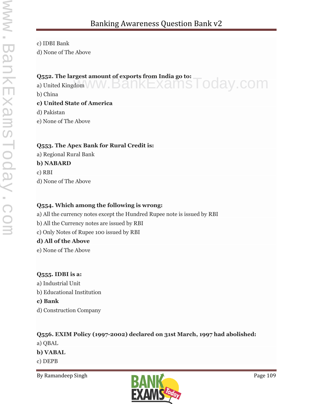c) IDBI Bank

d) None of The Above

### **Q552. The largest amount of exports from India go to:**

Q552. The largest amount of exports from India go to:<br>a) United Kingdom WW. BankExamSToday.com

b) China

### **c) United State of America**

d) Pakistan

e) None of The Above

## **Q553. The Apex Bank for Rural Credit is:**

a) Regional Rural Bank

## **b) NABARD**

c) RBI d) None of The Above

## **Q554. Which among the following is wrong:**

a) All the currency notes except the Hundred Rupee note is issued by RBI

b) All the Currency notes are issued by RBI

c) Only Notes of Rupee 100 issued by RBI

## **d) All of the Above**

e) None of The Above

## **Q555. IDBI is a:**

a) Industrial Unit b) Educational Institution **c) Bank** d) Construction Company

# **Q556. EXIM Policy (1997-2002) declared on 31st March, 1997 had abolished:** a) QBAL **b) VABAL**

c) DEPB

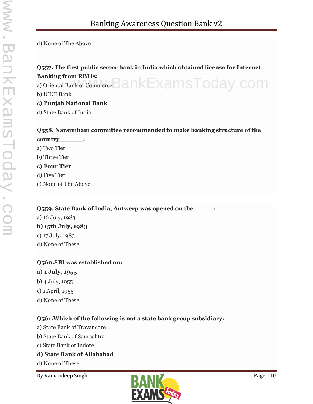d) None of The Above

# **Q557. The first public sector bank in India which obtained license for Internet Banking from RBI is:**  $_{\rm a)~Oriental~Bank~of~Commerce}$   $\rm {BankE}$   $\times$  ams  $\rm {Today}$  .  $\rm {com}$ b) ICICI Bank **c) Punjab National Bank**

d) State Bank of India

## **Q558. Narsimham committee recommended to make banking structure of the country\_\_\_\_\_\_:**

a) Two Tier b) Three Tier **c) Four Tier** d) Five Tier e) None of The Above

### **Q559. State Bank of India, Antwerp was opened on the\_\_\_\_\_:**

a) 16 July, 1983

## **b) 15th July, 1983**

- c) 17 July, 1983
- d) None of These

## **Q560.SBI was established on:**

- **a) 1 July, 1955**
- b) 4 July, 1955
- c) 1 April, 1955
- d) None of These

## **Q561.Which of the following is not a state bank group subsidiary:**

- a) State Bank of Travancore
- b) State Bank of Saurashtra
- c) State Bank of Indore

## **d) State Bank of Allahabad**

- d) None of These
- 

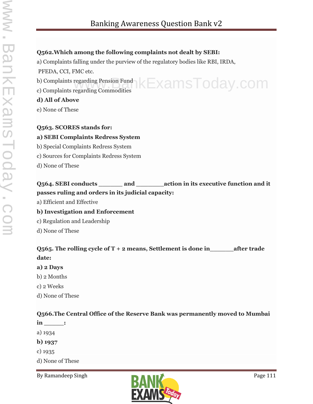### **Q562.Which among the following complaints not dealt by SEBI:**

a) Complaints falling under the purview of the regulatory bodies like RBI, IRDA,

PFEDA, CCI, FMC etc.

- b) Complaints regarding Pension Fund  $k$   $\mathsf{EXamsToday}$ .com
- c) Complaints regarding Commodities

### **d) All of Above**

e) None of These

## **Q563. SCORES stands for:**

#### **a) SEBI Complaints Redress System**

- b) Special Complaints Redress System
- c) Sources for Complaints Redress System
- d) None of These

# **Q564. SEBI conducts \_\_\_\_\_\_ and \_\_\_\_\_\_\_action in its executive function and it passes ruling and orders in its judicial capacity:**

a) Efficient and Effective

## **b) Investigation and Enforcement**

- c) Regulation and Leadership
- d) None of These

# **Q565. The rolling cycle of T + 2 means, Settlement is done in\_\_\_\_\_\_after trade date:**

## **a) 2 Days**

- b) 2 Months
- c) 2 Weeks
- d) None of These

## **Q566.The Central Office of the Reserve Bank was permanently moved to Mumbai**

- **in \_\_\_\_\_:**
- a) 1934
- **b) 1937**
- c) 1935
- d) None of These

By Ramandeep Singh Page 111

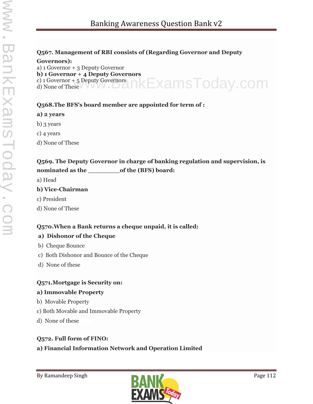#### **Q567. Management of RBI consists of (Regarding Governor and Deputy**

#### **Governors):**

a) 1 Governor + 3 Deputy Governor

**b) 1 Governor + 4 Deputy Governors**

c) 1 Governor + 5 Deputy Governors ่าkExamsToday.com

d) None of These

### **Q568.The BFS's board member are appointed for term of :**

### **a) 2 years**

- b) 3 years
- c) 4 years
- d) None of These

# **Q569. The Deputy Governor in charge of banking regulation and supervision, is nominated as the \_\_\_\_\_\_\_\_of the (BFS) board:**

a) Head

## **b) Vice-Chairman**

- c) President
- d) None of These

## **Q570.When a Bank returns a cheque unpaid, it is called:**

## **a) Dishonor of the Cheque**

- b) Cheque Bounce
- c) Both Dishonor and Bounce of the Cheque
- d) None of these

## **Q571.Mortgage is Security on:**

### **a) Immovable Property**

- b) Movable Property
- c) Both Movable and Immovable Property
- d) None of these

## **Q572. Full form of FINO:**

## **a) Financial Information Network and Operation Limited**

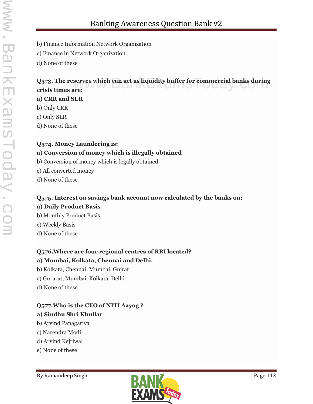- b) Finance Information Network Organization
- c) Finance in Network Organization
- d) None of these

## **Q573. The reserves which can act as liquidity buffer for commercial banks during<br>crisis times are: crisis times are:**

### **a) CRR and SLR**

- b) Only CRR
- c) Only SLR
- d) None of these

### **Q574. Money Laundering is: a) Conversion of money which is illegally obtained**

- b) Conversion of money which is legally obtained
- c) All converted money
- d) None of these

## **Q575. Interest on savings bank account now calculated by the banks on: a) Daily Product Basis**

- b) Monthly Product Basis
- c) Weekly Basis
- d) None of these

# **Q576.Where are four regional centres of RBI located?**

# **a) Mumbai, Kolkata, Chennai and Delhi.**

- b) Kolkata, Chennai, Mumbai, Gujrat
- c) Gurarat, Mumbai, Kolkata, Delhi
- d) None of these

## **Q577.Who is the CEO of NITI Aayog ? a) Sindhu Shri Khullar**

- b) Arvind Panagariya
- c) Narendra Modi
- d) Arvind Kejriwal
- e) None of these

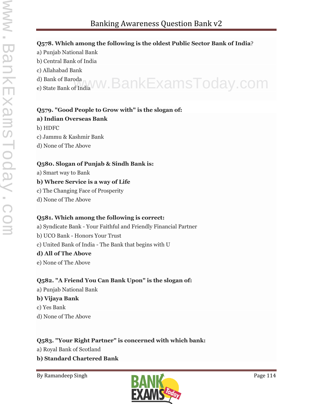### **Q578. Which among the following is the oldest Public Sector Bank of India**?

- a) Punjab National Bank
- b) Central Bank of India
- c) Allahabad Bank
- d) Bank of Baroda
- d) Bank of Baroda<br>e) State Bank of India WW.BankExamsToday.com

# **Q579. "Good People to Grow with" is the slogan of:**

#### **a) Indian Overseas Bank**

- b) HDFC
- c) Jammu & Kashmir Bank
- d) None of The Above

### **Q580. Slogan of Punjab & Sindh Bank is:**

a) Smart way to Bank

### **b) Where Service is a way of Life**

- c) The Changing Face of Prosperity
- d) None of The Above

## **Q581. Which among the following is correct:**

- a) Syndicate Bank Your Faithful and Friendly Financial Partner
- b) UCO Bank Honors Your Trust
- c) United Bank of India The Bank that begins with U

## **d) All of The Above**

e) None of The Above

# **Q582. "A Friend You Can Bank Upon" is the slogan of:**

a) Punjab National Bank

### **b) Vijaya Bank**

- c) Yes Bank
- d) None of The Above

## **Q583. "Your Right Partner" is concerned with which bank:**

- a) Royal Bank of Scotland
- **b) Standard Chartered Bank**

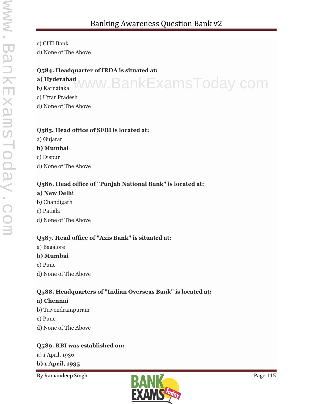c) CITI Bank

d) None of The Above

### **Q584. Headquarter of IRDA is situated at:**

## **a) Hyderabad**

b) Karnataka www.BankExamsToday.com

c) Uttar Pradesh

d) None of The Above

## **Q585. Head office of SEBI is located at:**

a) Gujarat

## **b) Mumbai**

c) Dispur

d) None of The Above

# **Q586. Head office of "Punjab National Bank" is located at:**

- **a) New Delhi**
- b) Chandigarh
- c) Patiala
- d) None of The Above

## **Q587. Head office of "Axis Bank" is situated at:**

a) Bagalore

# **b) Mumbai**

c) Pune

d) None of The Above

# **Q588. Headquarters of "Indian Overseas Bank" is located at:**

## **a) Chennai**

- b) Trivendrampuram
- c) Pune
- d) None of The Above

# **Q589. RBI was established on:**

a) 1 April, 1936

**b) 1 April, 1935**

By Ramandeep Singh Page 115

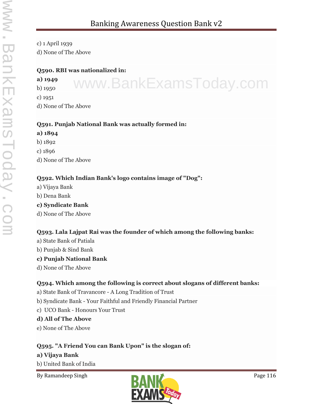c) 1 April 1939 d) None of The Above

### **Q590. RBI was nationalized in:**

### **a) 1949** b) 1950

www.BankExamsToday.com

c) 1951

d) None of The Above

### **Q591. Punjab National Bank was actually formed in:**

# **a) 1894**

- b) 1892
- c) 1896
- d) None of The Above

## **Q592. Which Indian Bank's logo contains image of "Dog":**

- a) Vijaya Bank
- b) Dena Bank

## **c) Syndicate Bank**

d) None of The Above

# **Q593. Lala Lajpat Rai was the founder of which among the following banks:**

- a) State Bank of Patiala
- b) Punjab & Sind Bank

# **c) Punjab National Bank**

d) None of The Above

# **Q594. Which among the following is correct about slogans of different banks:**

- a) State Bank of Travancore A Long Tradition of Trust
- b) Syndicate Bank Your Faithful and Friendly Financial Partner
- c) UCO Bank Honours Your Trust

# **d) All of The Above**

e) None of The Above

# **Q595. "A Friend You can Bank Upon" is the slogan of:**

# **a) Vijaya Bank**

b) United Bank of India

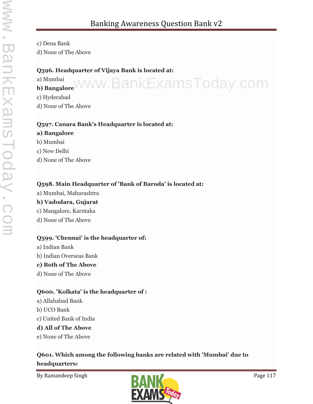c) Dena Bank

d) None of The Above

### **Q596. Headquarter of Vijaya Bank is located at:**

a) Mumbai a) Mumbai<sub>b)</sub> BankExamsToday.com c) Hyderabad d) None of The Above

### **Q597. Canara Bank's Headquarter is located at:**

- **a) Bangalore**
- b) Mumbai
- c) New Delhi
- d) None of The Above

## **Q598. Main Headquarter of 'Bank of Baroda' is located at:**

- a) Mumbai, Maharashtra **b) Vadodara, Gujarat**
- c) Mangalore, Karntaka
- d) None of The Above

## **Q599. 'Chennai' is the headquarter of:**

a) Indian Bank b) Indian Overseas Bank

## **c) Both of The Above**

d) None of The Above

## **Q600. 'Kolkata' is the headquarter of :**

- a) Allahabad Bank b) UCO Bank
- c) United Bank of India

# **d) All of The Above**

e) None of The Above

# **Q601. Which among the following banks are related with 'Mumbai' due to headquarters:**

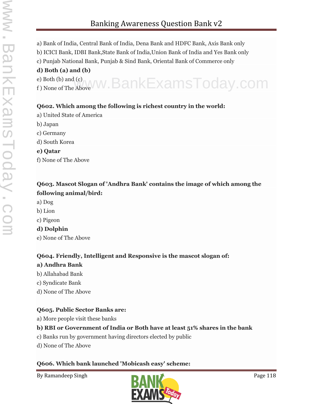- a) Bank of India, Central Bank of India, Dena Bank and HDFC Bank, Axis Bank only
- b) ICICI Bank, IDBI Bank,State Bank of India,Union Bank of India and Yes Bank only
- c) Punjab National Bank, Punjab & Sind Bank, Oriental Bank of Commerce only

# **d) Both (a) and (b)**

e) Both (b) and (c) e) Both (b) and (c) WW.BankExamsToday.com

## **Q602. Which among the following is richest country in the world:**

- a) United State of America
- b) Japan
- c) Germany
- d) South Korea
- **e) Qatar**
- f) None of The Above

## **Q603. Mascot Slogan of 'Andhra Bank' contains the image of which among the following animal/bird:**

- a) Dog
- b) Lion
- c) Pigeon

## **d) Dolphin**

e) None of The Above

# **Q604. Friendly, Intelligent and Responsive is the mascot slogan of:**

## **a) Andhra Bank**

- b) Allahabad Bank
- c) Syndicate Bank
- d) None of The Above

# **Q605. Public Sector Banks are:**

a) More people visit these banks

# **b) RBI or Government of India or Both have at least 51% shares in the bank**

- c) Banks run by government having directors elected by public
- d) None of The Above

# **Q606. Which bank launched 'Mobicash easy' scheme:**

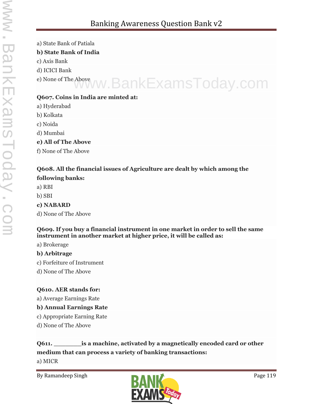- a) State Bank of Patiala **b) State Bank of India**
- c) Axis Bank
- d) ICICI Bank
- e) None of The Above www.BankExamsToday.com

# **Q607. Coins in India are minted at:**

- a) Hyderabad
- b) Kolkata
- c) Noida
- d) Mumbai
- **e) All of The Above**
- f) None of The Above

## **Q608. All the financial issues of Agriculture are dealt by which among the following banks:**

- a) RBI
- b) SBI

# **c) NABARD**

d) None of The Above

## **Q609. If you buy a financial instrument in one market in order to sell the same instrument in another market at higher price, it will be called as:**

a) Brokerage

# **b) Arbitrage**

- c) Forfeiture of Instrument
- d) None of The Above

# **Q610. AER stands for:**

a) Average Earnings Rate

# **b) Annual Earnings Rate**

- c) Appropriate Earning Rate
- d) None of The Above

# **Q611. \_\_\_\_\_\_\_is a machine, activated by a magnetically encoded card or other medium that can process a variety of banking transactions:**

a) MICR

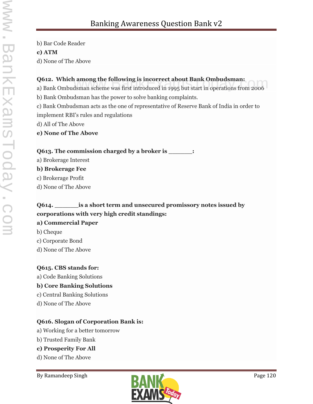b) Bar Code Reader

### **c) ATM**

d) None of The Above

## **Q612. Which among the following is incorrect about Bank Ombudsman:**

**Q612. Which among the following is incorrect about Bank Ombudsman:**<br>a) Bank Ombudsman scheme was first introduced in 1995 but start in operations from 2006

b) Bank Ombudsman has the power to solve banking complaints.

c) Bank Ombudsman acts as the one of representative of Reserve Bank of India in order to implement RBI's rules and regulations

d) All of The Above

**e) None of The Above**

## **Q613. The commission charged by a broker is \_\_\_\_\_\_:**

a) Brokerage Interest

### **b) Brokerage Fee**

- c) Brokerage Profit
- d) None of The Above

# **Q614. \_\_\_\_\_\_is a short term and unsecured promissory notes issued by corporations with very high credit standings:**

## **a) Commercial Paper**

- b) Cheque
- c) Corporate Bond
- d) None of The Above

## **Q615. CBS stands for:**

a) Code Banking Solutions

# **b) Core Banking Solutions**

- c) Central Banking Solutions
- d) None of The Above

## **Q616. Slogan of Corporation Bank is:**

- a) Working for a better tomorrow
- b) Trusted Family Bank
- **c) Prosperity For All**
- d) None of The Above

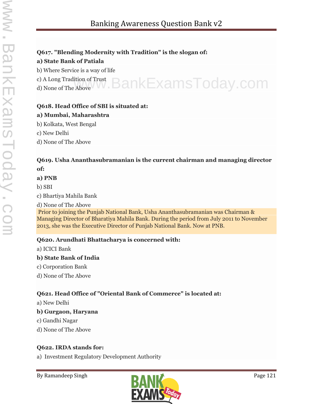# **Q617. "Blending Modernity with Tradition" is the slogan of:**

## **a) State Bank of Patiala**

b) Where Service is a way of life

c) A Long Tradition of Trust d) None of The Above www.BankExamsToday.com

## **Q618. Head Office of SBI is situated at:**

## **a) Mumbai, Maharashtra**

b) Kolkata, West Bengal

c) New Delhi

d) None of The Above

## **Q619. Usha Ananthasubramanian is the current chairman and managing director of:**

## **a) PNB**

b) SBI

c) Bhartiya Mahila Bank

d) None of The Above Prior to joining the Punjab National Bank, Usha Ananthasubramanian was Chairman & Managing Director of Bharatiya Mahila Bank. During the period from July 2011 to November 2013, she was the Executive Director of Punjab National Bank. Now at PNB.

## **Q620. Arundhati Bhattacharya is concerned with:**

a) ICICI Bank

## **b) State Bank of India**

- c) Corporation Bank
- d) None of The Above

# **Q621. Head Office of "Oriental Bank of Commerce" is located at:**

a) New Delhi

## **b) Gurgaon, Haryana**

- c) Gandhi Nagar
- d) None of The Above

# **Q622. IRDA stands for:**

a) Investment Regulatory Development Authority